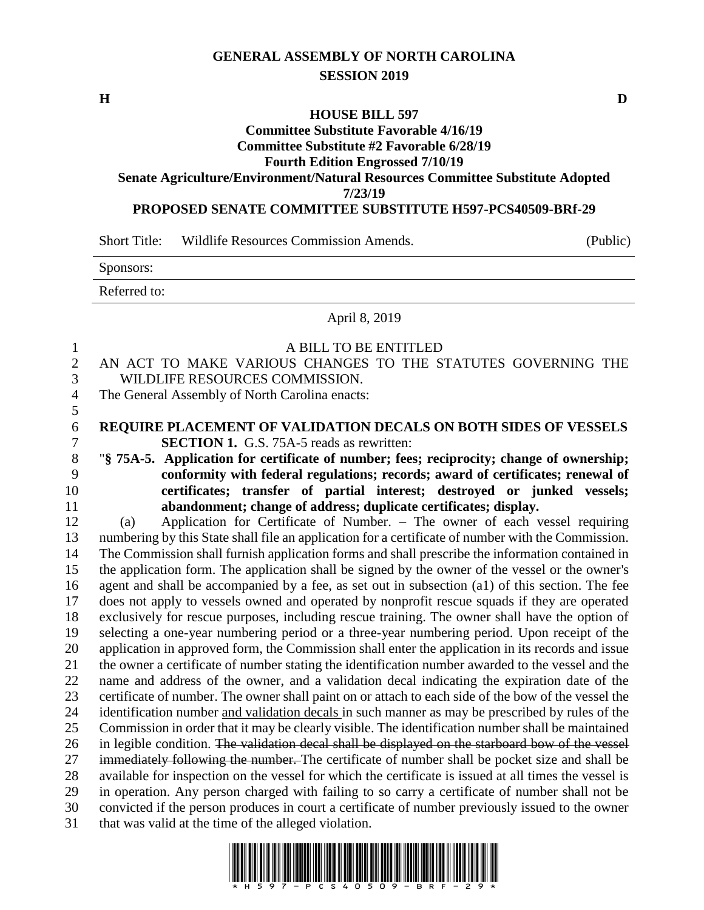# **GENERAL ASSEMBLY OF NORTH CAROLINA SESSION 2019**

## **HOUSE BILL 597**

**Committee Substitute Favorable 4/16/19**

**Committee Substitute #2 Favorable 6/28/19 Fourth Edition Engrossed 7/10/19**

# **Senate Agriculture/Environment/Natural Resources Committee Substitute Adopted 7/23/19**

#### **PROPOSED SENATE COMMITTEE SUBSTITUTE H597-PCS40509-BRf-29**

Short Title: Wildlife Resources Commission Amends. (Public)

| Sponsors:    |  |
|--------------|--|
| Referred to: |  |

# April 8, 2019

| $\mathbf{1}$   | A BILL TO BE ENTITLED                                                                                 |  |  |  |  |  |
|----------------|-------------------------------------------------------------------------------------------------------|--|--|--|--|--|
| $\overline{2}$ | AN ACT TO MAKE VARIOUS CHANGES TO THE STATUTES GOVERNING THE                                          |  |  |  |  |  |
| 3              | WILDLIFE RESOURCES COMMISSION.                                                                        |  |  |  |  |  |
| $\overline{4}$ | The General Assembly of North Carolina enacts:                                                        |  |  |  |  |  |
| 5              |                                                                                                       |  |  |  |  |  |
| 6              | REQUIRE PLACEMENT OF VALIDATION DECALS ON BOTH SIDES OF VESSELS                                       |  |  |  |  |  |
| 7              | <b>SECTION 1.</b> G.S. 75A-5 reads as rewritten:                                                      |  |  |  |  |  |
| 8              | "§ 75A-5. Application for certificate of number; fees; reciprocity; change of ownership;              |  |  |  |  |  |
| 9              | conformity with federal regulations; records; award of certificates; renewal of                       |  |  |  |  |  |
| 10             | certificates; transfer of partial interest; destroyed or junked vessels;                              |  |  |  |  |  |
| 11             | abandonment; change of address; duplicate certificates; display.                                      |  |  |  |  |  |
| 12             | Application for Certificate of Number. - The owner of each vessel requiring<br>(a)                    |  |  |  |  |  |
| 13             | numbering by this State shall file an application for a certificate of number with the Commission.    |  |  |  |  |  |
| 14             | The Commission shall furnish application forms and shall prescribe the information contained in       |  |  |  |  |  |
| 15             | the application form. The application shall be signed by the owner of the vessel or the owner's       |  |  |  |  |  |
| 16             | agent and shall be accompanied by a fee, as set out in subsection (a1) of this section. The fee       |  |  |  |  |  |
| 17             | does not apply to vessels owned and operated by nonprofit rescue squads if they are operated          |  |  |  |  |  |
| 18             | exclusively for rescue purposes, including rescue training. The owner shall have the option of        |  |  |  |  |  |
| 19             | selecting a one-year numbering period or a three-year numbering period. Upon receipt of the           |  |  |  |  |  |
| 20             | application in approved form, the Commission shall enter the application in its records and issue     |  |  |  |  |  |
| 21             | the owner a certificate of number stating the identification number awarded to the vessel and the     |  |  |  |  |  |
| 22             | name and address of the owner, and a validation decal indicating the expiration date of the           |  |  |  |  |  |
| 23             | certificate of number. The owner shall paint on or attach to each side of the bow of the vessel the   |  |  |  |  |  |
| 24             | identification number and validation decals in such manner as may be prescribed by rules of the       |  |  |  |  |  |
| 25             | Commission in order that it may be clearly visible. The identification number shall be maintained     |  |  |  |  |  |
| 26             | in legible condition. The validation decal shall be displayed on the starboard bow of the vessel      |  |  |  |  |  |
| 27             | immediately following the number. The certificate of number shall be pocket size and shall be         |  |  |  |  |  |
| 28             | available for inspection on the vessel for which the certificate is issued at all times the vessel is |  |  |  |  |  |
| 29             | in operation. Any person charged with failing to so carry a certificate of number shall not be        |  |  |  |  |  |
| 30             | convicted if the person produces in court a certificate of number previously issued to the owner      |  |  |  |  |  |
| 31             | that was valid at the time of the alleged violation.                                                  |  |  |  |  |  |

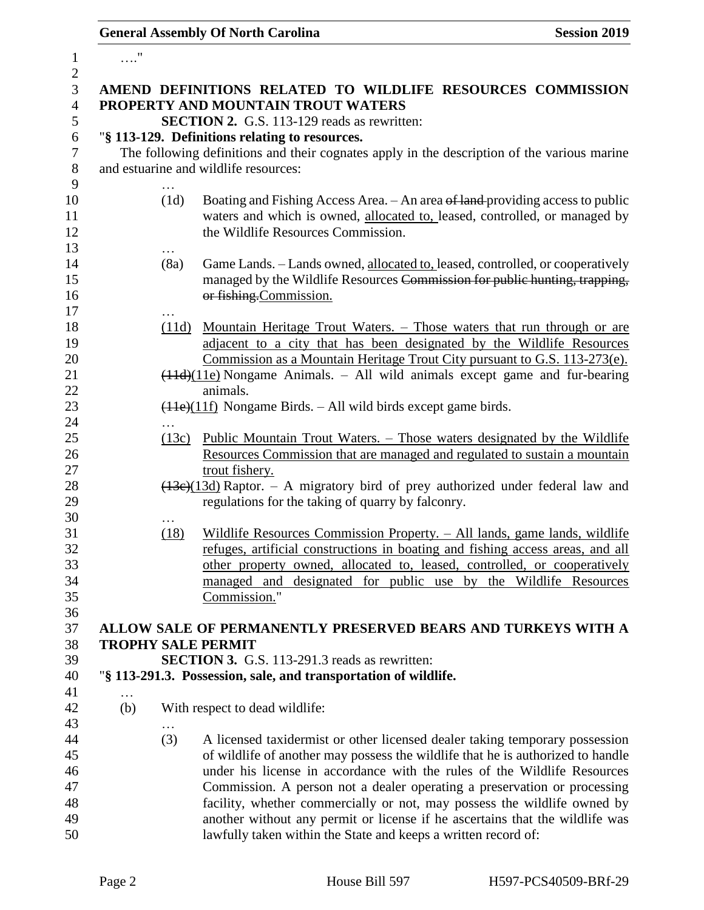# **General Assembly Of North Carolina Session 2019**

| $\mathbf{1}$     | $\ldots$ " |                   |                                                                                                                                                           |
|------------------|------------|-------------------|-----------------------------------------------------------------------------------------------------------------------------------------------------------|
| $\boldsymbol{2}$ |            |                   |                                                                                                                                                           |
| $\mathfrak{Z}$   |            |                   | AMEND DEFINITIONS RELATED TO WILDLIFE RESOURCES COMMISSION                                                                                                |
| $\overline{4}$   |            |                   | PROPERTY AND MOUNTAIN TROUT WATERS                                                                                                                        |
| 5                |            |                   | <b>SECTION 2.</b> G.S. 113-129 reads as rewritten:                                                                                                        |
| 6                |            |                   | "§ 113-129. Definitions relating to resources.                                                                                                            |
| $\tau$           |            |                   | The following definitions and their cognates apply in the description of the various marine                                                               |
| $8\,$            |            |                   | and estuarine and wildlife resources:                                                                                                                     |
| 9                |            |                   |                                                                                                                                                           |
| 10               |            | (1d)              | Boating and Fishing Access Area. - An area of land-providing access to public                                                                             |
| 11               |            |                   | waters and which is owned, allocated to, leased, controlled, or managed by                                                                                |
| 12               |            |                   | the Wildlife Resources Commission.                                                                                                                        |
| 13               |            |                   |                                                                                                                                                           |
| 14               |            | (8a)              | Game Lands. - Lands owned, allocated to, leased, controlled, or cooperatively                                                                             |
| 15               |            |                   | managed by the Wildlife Resources Commission for public hunting, trapping,                                                                                |
| 16               |            |                   | or fishing.Commission.                                                                                                                                    |
| 17               |            |                   |                                                                                                                                                           |
| 18               |            | (11d)             | <u>Mountain Heritage Trout Waters. – Those waters that run through or are</u>                                                                             |
| 19               |            |                   | adjacent to a city that has been designated by the Wildlife Resources                                                                                     |
| 20<br>21         |            |                   | Commission as a Mountain Heritage Trout City pursuant to G.S. 113-273(e).<br>$(11d)(11e)$ Nongame Animals. – All wild animals except game and fur-bearing |
| 22               |            |                   | animals.                                                                                                                                                  |
| 23               |            |                   | $(11e)(11f)$ Nongame Birds. – All wild birds except game birds.                                                                                           |
| 24               |            |                   |                                                                                                                                                           |
| 25               |            | $\cdots$<br>(13c) | <u> Public Mountain Trout Waters. – Those waters designated by the Wildlife</u>                                                                           |
| 26               |            |                   | Resources Commission that are managed and regulated to sustain a mountain                                                                                 |
| 27               |            |                   | trout fishery.                                                                                                                                            |
| 28               |            |                   | $(13e)(13d)$ Raptor. – A migratory bird of prey authorized under federal law and                                                                          |
| 29               |            |                   | regulations for the taking of quarry by falconry.                                                                                                         |
| 30               |            | .                 |                                                                                                                                                           |
| 31               |            | (18)              | Wildlife Resources Commission Property. - All lands, game lands, wildlife                                                                                 |
| 32               |            |                   | refuges, artificial constructions in boating and fishing access areas, and all                                                                            |
| 33               |            |                   | other property owned, allocated to, leased, controlled, or cooperatively                                                                                  |
| 34               |            |                   | managed and designated for public use by the Wildlife Resources                                                                                           |
| 35               |            |                   | Commission."                                                                                                                                              |
| 36               |            |                   |                                                                                                                                                           |
| 37               |            |                   | ALLOW SALE OF PERMANENTLY PRESERVED BEARS AND TURKEYS WITH A                                                                                              |
| 38               |            |                   | <b>TROPHY SALE PERMIT</b>                                                                                                                                 |
| 39               |            |                   | <b>SECTION 3.</b> G.S. 113-291.3 reads as rewritten:                                                                                                      |
| 40               |            |                   | "§ 113-291.3. Possession, sale, and transportation of wildlife.                                                                                           |
| 41               | $\cdots$   |                   |                                                                                                                                                           |
| 42               | (b)        |                   | With respect to dead wildlife:                                                                                                                            |
| 43               |            |                   |                                                                                                                                                           |
| 44               |            | (3)               | A licensed taxidermist or other licensed dealer taking temporary possession                                                                               |
| 45               |            |                   | of wildlife of another may possess the wildlife that he is authorized to handle                                                                           |
| 46               |            |                   | under his license in accordance with the rules of the Wildlife Resources                                                                                  |
| 47               |            |                   | Commission. A person not a dealer operating a preservation or processing                                                                                  |
| 48               |            |                   | facility, whether commercially or not, may possess the wildlife owned by                                                                                  |
| 49               |            |                   | another without any permit or license if he ascertains that the wildlife was                                                                              |
| 50               |            |                   | lawfully taken within the State and keeps a written record of:                                                                                            |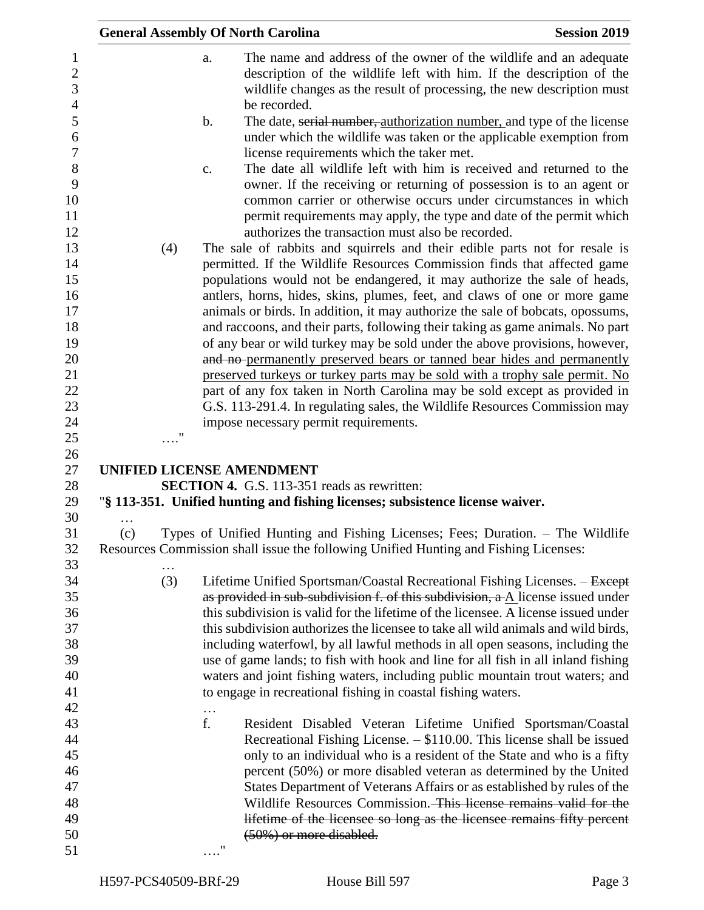|     |                    |    | <b>General Assembly Of North Carolina</b>                                                                                                                                                                                                                                                                                                   | <b>Session 2019</b> |
|-----|--------------------|----|---------------------------------------------------------------------------------------------------------------------------------------------------------------------------------------------------------------------------------------------------------------------------------------------------------------------------------------------|---------------------|
|     |                    | a. | The name and address of the owner of the wildlife and an adequate<br>description of the wildlife left with him. If the description of the<br>wildlife changes as the result of processing, the new description must<br>be recorded.                                                                                                         |                     |
|     |                    | b. | The date, serial number, authorization number, and type of the license<br>under which the wildlife was taken or the applicable exemption from<br>license requirements which the taker met.                                                                                                                                                  |                     |
|     |                    | c. | The date all wildlife left with him is received and returned to the<br>owner. If the receiving or returning of possession is to an agent or<br>common carrier or otherwise occurs under circumstances in which<br>permit requirements may apply, the type and date of the permit which<br>authorizes the transaction must also be recorded. |                     |
|     | (4)                |    | The sale of rabbits and squirrels and their edible parts not for resale is                                                                                                                                                                                                                                                                  |                     |
|     |                    |    | permitted. If the Wildlife Resources Commission finds that affected game<br>populations would not be endangered, it may authorize the sale of heads,                                                                                                                                                                                        |                     |
|     |                    |    | antlers, horns, hides, skins, plumes, feet, and claws of one or more game                                                                                                                                                                                                                                                                   |                     |
|     |                    |    | animals or birds. In addition, it may authorize the sale of bobcats, opossums,                                                                                                                                                                                                                                                              |                     |
|     |                    |    | and raccoons, and their parts, following their taking as game animals. No part                                                                                                                                                                                                                                                              |                     |
|     |                    |    | of any bear or wild turkey may be sold under the above provisions, however,                                                                                                                                                                                                                                                                 |                     |
|     |                    |    | and no permanently preserved bears or tanned bear hides and permanently                                                                                                                                                                                                                                                                     |                     |
|     |                    |    | preserved turkeys or turkey parts may be sold with a trophy sale permit. No                                                                                                                                                                                                                                                                 |                     |
|     |                    |    | part of any fox taken in North Carolina may be sold except as provided in<br>G.S. 113-291.4. In regulating sales, the Wildlife Resources Commission may                                                                                                                                                                                     |                     |
|     |                    |    | impose necessary permit requirements.                                                                                                                                                                                                                                                                                                       |                     |
|     | $\pmb{\mathsf{H}}$ |    |                                                                                                                                                                                                                                                                                                                                             |                     |
|     |                    |    |                                                                                                                                                                                                                                                                                                                                             |                     |
|     |                    |    | <b>UNIFIED LICENSE AMENDMENT</b>                                                                                                                                                                                                                                                                                                            |                     |
|     |                    |    | <b>SECTION 4.</b> G.S. 113-351 reads as rewritten:<br>"§ 113-351. Unified hunting and fishing licenses; subsistence license waiver.                                                                                                                                                                                                         |                     |
|     |                    |    |                                                                                                                                                                                                                                                                                                                                             |                     |
| (c) |                    |    | Types of Unified Hunting and Fishing Licenses; Fees; Duration. - The Wildlife<br>Resources Commission shall issue the following Unified Hunting and Fishing Licenses:                                                                                                                                                                       |                     |
|     |                    |    |                                                                                                                                                                                                                                                                                                                                             |                     |
|     | (3)                |    | Lifetime Unified Sportsman/Coastal Recreational Fishing Licenses. - Except<br>as provided in sub-subdivision f. of this subdivision, $a \Delta$ license issued under                                                                                                                                                                        |                     |
|     |                    |    | this subdivision is valid for the lifetime of the licensee. A license issued under                                                                                                                                                                                                                                                          |                     |
|     |                    |    | this subdivision authorizes the licensee to take all wild animals and wild birds,                                                                                                                                                                                                                                                           |                     |
|     |                    |    | including waterfowl, by all lawful methods in all open seasons, including the                                                                                                                                                                                                                                                               |                     |
|     |                    |    | use of game lands; to fish with hook and line for all fish in all inland fishing                                                                                                                                                                                                                                                            |                     |
|     |                    |    | waters and joint fishing waters, including public mountain trout waters; and                                                                                                                                                                                                                                                                |                     |
|     |                    |    | to engage in recreational fishing in coastal fishing waters.                                                                                                                                                                                                                                                                                |                     |
|     |                    | f. | Resident Disabled Veteran Lifetime Unified Sportsman/Coastal                                                                                                                                                                                                                                                                                |                     |
|     |                    |    | Recreational Fishing License. $-$ \$110.00. This license shall be issued                                                                                                                                                                                                                                                                    |                     |
|     |                    |    | only to an individual who is a resident of the State and who is a fifty                                                                                                                                                                                                                                                                     |                     |
|     |                    |    | percent (50%) or more disabled veteran as determined by the United                                                                                                                                                                                                                                                                          |                     |
|     |                    |    | States Department of Veterans Affairs or as established by rules of the                                                                                                                                                                                                                                                                     |                     |
|     |                    |    | Wildlife Resources Commission. This license remains valid for the                                                                                                                                                                                                                                                                           |                     |
|     |                    |    | lifetime of the licensee so long as the licensee remains fifty percent                                                                                                                                                                                                                                                                      |                     |
|     |                    |    | $(50\%)$ or more disabled.                                                                                                                                                                                                                                                                                                                  |                     |
|     |                    | .  |                                                                                                                                                                                                                                                                                                                                             |                     |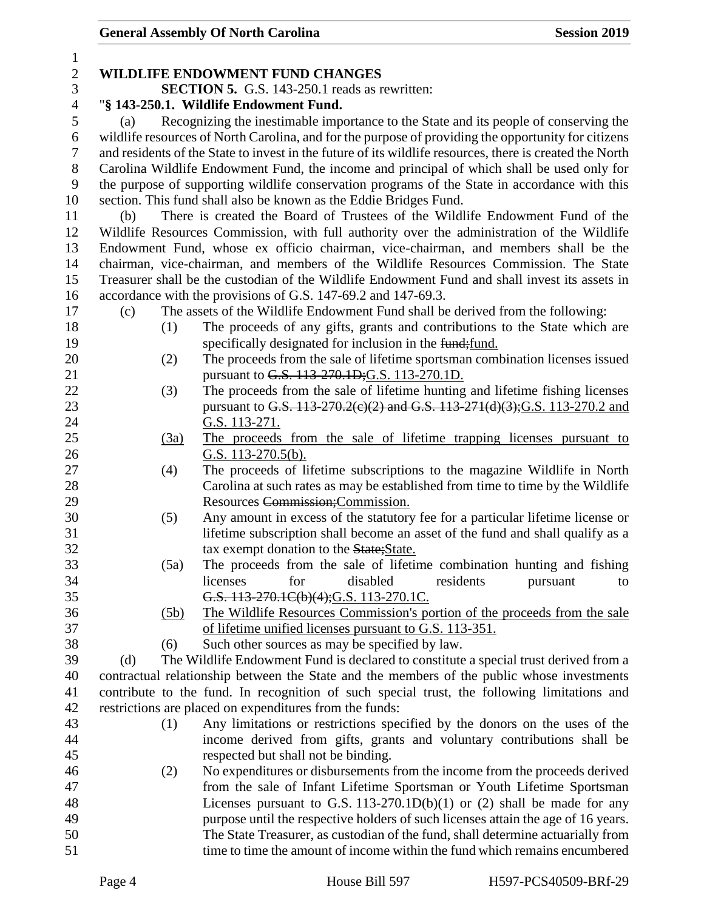| 1              |                                                      |      |                                                                                                          |  |  |  |
|----------------|------------------------------------------------------|------|----------------------------------------------------------------------------------------------------------|--|--|--|
| $\mathfrak{2}$ |                                                      |      | WILDLIFE ENDOWMENT FUND CHANGES                                                                          |  |  |  |
| 3              | <b>SECTION 5.</b> G.S. 143-250.1 reads as rewritten: |      |                                                                                                          |  |  |  |
| $\overline{4}$ | "§ 143-250.1. Wildlife Endowment Fund.               |      |                                                                                                          |  |  |  |
| $\sqrt{5}$     | (a)                                                  |      | Recognizing the inestimable importance to the State and its people of conserving the                     |  |  |  |
| 6              |                                                      |      | wildlife resources of North Carolina, and for the purpose of providing the opportunity for citizens      |  |  |  |
| $\tau$         |                                                      |      | and residents of the State to invest in the future of its wildlife resources, there is created the North |  |  |  |
| 8              |                                                      |      | Carolina Wildlife Endowment Fund, the income and principal of which shall be used only for               |  |  |  |
| 9              |                                                      |      | the purpose of supporting wildlife conservation programs of the State in accordance with this            |  |  |  |
| 10             |                                                      |      | section. This fund shall also be known as the Eddie Bridges Fund.                                        |  |  |  |
| 11             | (b)                                                  |      | There is created the Board of Trustees of the Wildlife Endowment Fund of the                             |  |  |  |
| 12             |                                                      |      | Wildlife Resources Commission, with full authority over the administration of the Wildlife               |  |  |  |
| 13             |                                                      |      | Endowment Fund, whose ex officio chairman, vice-chairman, and members shall be the                       |  |  |  |
| 14             |                                                      |      | chairman, vice-chairman, and members of the Wildlife Resources Commission. The State                     |  |  |  |
| 15             |                                                      |      | Treasurer shall be the custodian of the Wildlife Endowment Fund and shall invest its assets in           |  |  |  |
| 16             |                                                      |      | accordance with the provisions of G.S. 147-69.2 and 147-69.3.                                            |  |  |  |
| 17             | (c)                                                  |      | The assets of the Wildlife Endowment Fund shall be derived from the following:                           |  |  |  |
| 18             |                                                      | (1)  | The proceeds of any gifts, grants and contributions to the State which are                               |  |  |  |
| 19             |                                                      |      | specifically designated for inclusion in the fund; fund.                                                 |  |  |  |
| 20             |                                                      | (2)  | The proceeds from the sale of lifetime sportsman combination licenses issued                             |  |  |  |
| 21             |                                                      |      | pursuant to G.S. 113-270.1D; G.S. 113-270.1D.                                                            |  |  |  |
| 22             |                                                      | (3)  | The proceeds from the sale of lifetime hunting and lifetime fishing licenses                             |  |  |  |
| 23             |                                                      |      | pursuant to G.S. 113-270.2(e)(2) and G.S. 113-271(d)(3); G.S. 113-270.2 and                              |  |  |  |
| 24             |                                                      |      | G.S. 113-271.                                                                                            |  |  |  |
| 25             |                                                      | (3a) | The proceeds from the sale of lifetime trapping licenses pursuant to                                     |  |  |  |
| 26             |                                                      |      | G.S. $113-270.5(b)$ .                                                                                    |  |  |  |
| 27             |                                                      | (4)  | The proceeds of lifetime subscriptions to the magazine Wildlife in North                                 |  |  |  |
| 28             |                                                      |      | Carolina at such rates as may be established from time to time by the Wildlife                           |  |  |  |
| 29             |                                                      |      | Resources Commission; Commission.                                                                        |  |  |  |
| 30             |                                                      | (5)  | Any amount in excess of the statutory fee for a particular lifetime license or                           |  |  |  |
| 31             |                                                      |      | lifetime subscription shall become an asset of the fund and shall qualify as a                           |  |  |  |
| 32             |                                                      |      | tax exempt donation to the State; State.                                                                 |  |  |  |
| 33             |                                                      | (5a) | The proceeds from the sale of lifetime combination hunting and fishing                                   |  |  |  |
| 34             |                                                      |      | licenses<br>for<br>disabled<br>residents<br>pursuant<br>to                                               |  |  |  |
| 35             |                                                      |      | G.S. 113-270.1C(b)(4); G.S. 113-270.1C.                                                                  |  |  |  |
| 36             |                                                      | (5b) | The Wildlife Resources Commission's portion of the proceeds from the sale                                |  |  |  |
| 37             |                                                      |      | of lifetime unified licenses pursuant to G.S. 113-351.                                                   |  |  |  |
| 38             |                                                      | (6)  | Such other sources as may be specified by law.                                                           |  |  |  |
| 39             | (d)                                                  |      | The Wildlife Endowment Fund is declared to constitute a special trust derived from a                     |  |  |  |
| 40             |                                                      |      | contractual relationship between the State and the members of the public whose investments               |  |  |  |
| 41             |                                                      |      | contribute to the fund. In recognition of such special trust, the following limitations and              |  |  |  |
| 42             |                                                      |      | restrictions are placed on expenditures from the funds:                                                  |  |  |  |
| 43             |                                                      | (1)  | Any limitations or restrictions specified by the donors on the uses of the                               |  |  |  |
| 44             |                                                      |      | income derived from gifts, grants and voluntary contributions shall be                                   |  |  |  |
| 45             |                                                      |      | respected but shall not be binding.                                                                      |  |  |  |
| 46             |                                                      | (2)  | No expenditures or disbursements from the income from the proceeds derived                               |  |  |  |
| 47             |                                                      |      | from the sale of Infant Lifetime Sportsman or Youth Lifetime Sportsman                                   |  |  |  |
| 48             |                                                      |      | Licenses pursuant to G.S. 113-270.1D(b)(1) or (2) shall be made for any                                  |  |  |  |
| 49             |                                                      |      | purpose until the respective holders of such licenses attain the age of 16 years.                        |  |  |  |
| 50             |                                                      |      | The State Treasurer, as custodian of the fund, shall determine actuarially from                          |  |  |  |
| 51             |                                                      |      | time to time the amount of income within the fund which remains encumbered                               |  |  |  |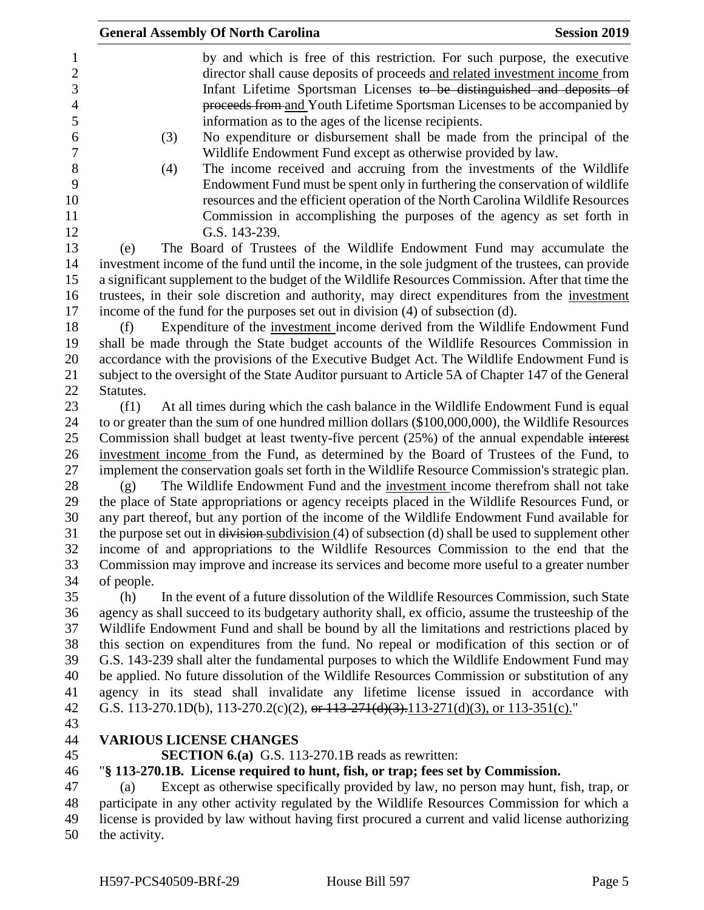|               | <b>General Assembly Of North Carolina</b>                                                                                                                                                                                                                                                                                                                                | <b>Session 2019</b> |
|---------------|--------------------------------------------------------------------------------------------------------------------------------------------------------------------------------------------------------------------------------------------------------------------------------------------------------------------------------------------------------------------------|---------------------|
|               | by and which is free of this restriction. For such purpose, the executive<br>director shall cause deposits of proceeds and related investment income from<br>Infant Lifetime Sportsman Licenses to be distinguished and deposits of<br>proceeds from and Youth Lifetime Sportsman Licenses to be accompanied by<br>information as to the ages of the license recipients. |                     |
| (3)           | No expenditure or disbursement shall be made from the principal of the<br>Wildlife Endowment Fund except as otherwise provided by law.                                                                                                                                                                                                                                   |                     |
| (4)           | The income received and accruing from the investments of the Wildlife<br>Endowment Fund must be spent only in furthering the conservation of wildlife<br>resources and the efficient operation of the North Carolina Wildlife Resources<br>Commission in accomplishing the purposes of the agency as set forth in                                                        |                     |
|               | G.S. 143-239.                                                                                                                                                                                                                                                                                                                                                            |                     |
| (e)           | The Board of Trustees of the Wildlife Endowment Fund may accumulate the                                                                                                                                                                                                                                                                                                  |                     |
|               | investment income of the fund until the income, in the sole judgment of the trustees, can provide<br>a significant supplement to the budget of the Wildlife Resources Commission. After that time the                                                                                                                                                                    |                     |
|               | trustees, in their sole discretion and authority, may direct expenditures from the investment                                                                                                                                                                                                                                                                            |                     |
|               | income of the fund for the purposes set out in division (4) of subsection (d).                                                                                                                                                                                                                                                                                           |                     |
| (f)           | Expenditure of the investment income derived from the Wildlife Endowment Fund                                                                                                                                                                                                                                                                                            |                     |
|               | shall be made through the State budget accounts of the Wildlife Resources Commission in                                                                                                                                                                                                                                                                                  |                     |
|               | accordance with the provisions of the Executive Budget Act. The Wildlife Endowment Fund is                                                                                                                                                                                                                                                                               |                     |
|               | subject to the oversight of the State Auditor pursuant to Article 5A of Chapter 147 of the General                                                                                                                                                                                                                                                                       |                     |
| Statutes.     |                                                                                                                                                                                                                                                                                                                                                                          |                     |
| (f1)          | At all times during which the cash balance in the Wildlife Endowment Fund is equal                                                                                                                                                                                                                                                                                       |                     |
|               | to or greater than the sum of one hundred million dollars (\$100,000,000), the Wildlife Resources                                                                                                                                                                                                                                                                        |                     |
|               | Commission shall budget at least twenty-five percent (25%) of the annual expendable interest                                                                                                                                                                                                                                                                             |                     |
|               | investment income from the Fund, as determined by the Board of Trustees of the Fund, to                                                                                                                                                                                                                                                                                  |                     |
|               | implement the conservation goals set forth in the Wildlife Resource Commission's strategic plan.                                                                                                                                                                                                                                                                         |                     |
| (g)           | The Wildlife Endowment Fund and the investment income therefrom shall not take                                                                                                                                                                                                                                                                                           |                     |
|               | the place of State appropriations or agency receipts placed in the Wildlife Resources Fund, or                                                                                                                                                                                                                                                                           |                     |
|               | any part thereof, but any portion of the income of the Wildlife Endowment Fund available for                                                                                                                                                                                                                                                                             |                     |
|               | the purpose set out in <del>division</del> subdivision (4) of subsection (d) shall be used to supplement other                                                                                                                                                                                                                                                           |                     |
|               | income of and appropriations to the Wildlife Resources Commission to the end that the                                                                                                                                                                                                                                                                                    |                     |
|               | Commission may improve and increase its services and become more useful to a greater number                                                                                                                                                                                                                                                                              |                     |
| of people.    |                                                                                                                                                                                                                                                                                                                                                                          |                     |
| (h)           | In the event of a future dissolution of the Wildlife Resources Commission, such State                                                                                                                                                                                                                                                                                    |                     |
|               | agency as shall succeed to its budgetary authority shall, ex officio, assume the trusteeship of the                                                                                                                                                                                                                                                                      |                     |
|               | Wildlife Endowment Fund and shall be bound by all the limitations and restrictions placed by                                                                                                                                                                                                                                                                             |                     |
|               | this section on expenditures from the fund. No repeal or modification of this section or of<br>G.S. 143-239 shall alter the fundamental purposes to which the Wildlife Endowment Fund may                                                                                                                                                                                |                     |
|               | be applied. No future dissolution of the Wildlife Resources Commission or substitution of any                                                                                                                                                                                                                                                                            |                     |
|               | agency in its stead shall invalidate any lifetime license issued in accordance with                                                                                                                                                                                                                                                                                      |                     |
|               | G.S. 113-270.1D(b), 113-270.2(c)(2), or $113-271(d)(3)$ , $113-271(d)(3)$ , or $113-351(c)$ ."                                                                                                                                                                                                                                                                           |                     |
|               |                                                                                                                                                                                                                                                                                                                                                                          |                     |
|               | <b>VARIOUS LICENSE CHANGES</b>                                                                                                                                                                                                                                                                                                                                           |                     |
|               | <b>SECTION 6.(a)</b> G.S. 113-270.1B reads as rewritten:                                                                                                                                                                                                                                                                                                                 |                     |
|               | "§ 113-270.1B. License required to hunt, fish, or trap; fees set by Commission.                                                                                                                                                                                                                                                                                          |                     |
| (a)           | Except as otherwise specifically provided by law, no person may hunt, fish, trap, or                                                                                                                                                                                                                                                                                     |                     |
|               | participate in any other activity regulated by the Wildlife Resources Commission for which a                                                                                                                                                                                                                                                                             |                     |
|               | license is provided by law without having first procured a current and valid license authorizing                                                                                                                                                                                                                                                                         |                     |
| the activity. |                                                                                                                                                                                                                                                                                                                                                                          |                     |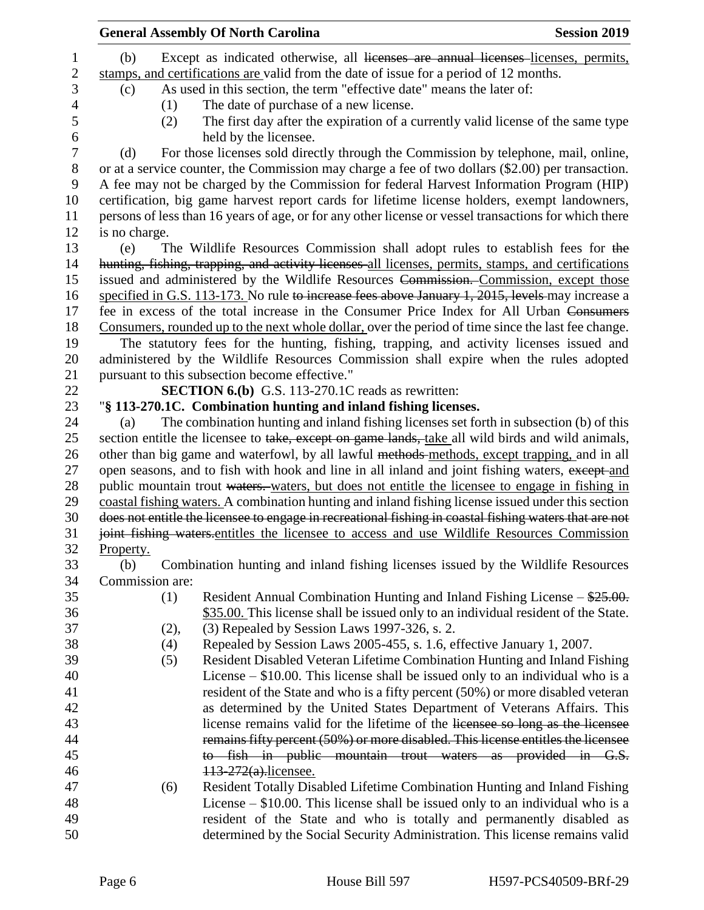|           |                 | <b>General Assembly Of North Carolina</b>                                                              | <b>Session 2019</b> |
|-----------|-----------------|--------------------------------------------------------------------------------------------------------|---------------------|
| (b)       |                 | Except as indicated otherwise, all licenses are annual licenses licenses, permits,                     |                     |
|           |                 | stamps, and certifications are valid from the date of issue for a period of 12 months.                 |                     |
| (c)       |                 | As used in this section, the term "effective date" means the later of:                                 |                     |
|           | (1)             | The date of purchase of a new license.                                                                 |                     |
|           | (2)             | The first day after the expiration of a currently valid license of the same type                       |                     |
|           |                 | held by the licensee.                                                                                  |                     |
| (d)       |                 | For those licenses sold directly through the Commission by telephone, mail, online,                    |                     |
|           |                 | or at a service counter, the Commission may charge a fee of two dollars (\$2.00) per transaction.      |                     |
|           |                 | A fee may not be charged by the Commission for federal Harvest Information Program (HIP)               |                     |
|           |                 | certification, big game harvest report cards for lifetime license holders, exempt landowners,          |                     |
|           |                 | persons of less than 16 years of age, or for any other license or vessel transactions for which there  |                     |
|           | is no charge.   |                                                                                                        |                     |
| (e)       |                 | The Wildlife Resources Commission shall adopt rules to establish fees for the                          |                     |
|           |                 | hunting, fishing, trapping, and activity licenses all licenses, permits, stamps, and certifications    |                     |
|           |                 | issued and administered by the Wildlife Resources Commission. Commission, except those                 |                     |
|           |                 | specified in G.S. 113-173. No rule to increase fees above January 1, 2015, levels may increase a       |                     |
|           |                 | fee in excess of the total increase in the Consumer Price Index for All Urban Consumers                |                     |
|           |                 | Consumers, rounded up to the next whole dollar, over the period of time since the last fee change.     |                     |
|           |                 | The statutory fees for the hunting, fishing, trapping, and activity licenses issued and                |                     |
|           |                 | administered by the Wildlife Resources Commission shall expire when the rules adopted                  |                     |
|           |                 | pursuant to this subsection become effective."                                                         |                     |
|           |                 | <b>SECTION 6.(b)</b> G.S. 113-270.1C reads as rewritten:                                               |                     |
|           |                 | "§ 113-270.1C. Combination hunting and inland fishing licenses.                                        |                     |
| (a)       |                 | The combination hunting and inland fishing licenses set forth in subsection (b) of this                |                     |
|           |                 | section entitle the licensee to take, except on game lands, take all wild birds and wild animals,      |                     |
|           |                 | other than big game and waterfowl, by all lawful methods methods, except trapping, and in all          |                     |
|           |                 | open seasons, and to fish with hook and line in all inland and joint fishing waters, except and        |                     |
|           |                 | public mountain trout waters. waters, but does not entitle the licensee to engage in fishing in        |                     |
|           |                 | coastal fishing waters. A combination hunting and inland fishing license issued under this section     |                     |
|           |                 | does not entitle the licensee to engage in recreational fishing in coastal fishing waters that are not |                     |
|           |                 | joint fishing waters entitles the licensee to access and use Wildlife Resources Commission             |                     |
| Property. |                 |                                                                                                        |                     |
| (b)       |                 | Combination hunting and inland fishing licenses issued by the Wildlife Resources                       |                     |
|           | Commission are: |                                                                                                        |                     |
|           | (1)             | Resident Annual Combination Hunting and Inland Fishing License $-\frac{$25.00}{}$ .                    |                     |
|           |                 | \$35.00. This license shall be issued only to an individual resident of the State.                     |                     |
|           | (2),            | (3) Repealed by Session Laws 1997-326, s. 2.                                                           |                     |
|           | (4)             | Repealed by Session Laws 2005-455, s. 1.6, effective January 1, 2007.                                  |                     |
|           | (5)             | Resident Disabled Veteran Lifetime Combination Hunting and Inland Fishing                              |                     |
|           |                 | License $-$ \$10.00. This license shall be issued only to an individual who is a                       |                     |
|           |                 | resident of the State and who is a fifty percent (50%) or more disabled veteran                        |                     |
|           |                 | as determined by the United States Department of Veterans Affairs. This                                |                     |
|           |                 | license remains valid for the lifetime of the licensee so long as the licensee                         |                     |
|           |                 | remains fifty percent (50%) or more disabled. This license entitles the licensee                       |                     |
|           |                 | to fish in public mountain trout waters as provided in G.S.                                            |                     |
|           |                 | 113-272(a).licensee.                                                                                   |                     |
|           | (6)             | Resident Totally Disabled Lifetime Combination Hunting and Inland Fishing                              |                     |
|           |                 | License $-$ \$10.00. This license shall be issued only to an individual who is a                       |                     |
|           |                 | resident of the State and who is totally and permanently disabled as                                   |                     |
|           |                 | determined by the Social Security Administration. This license remains valid                           |                     |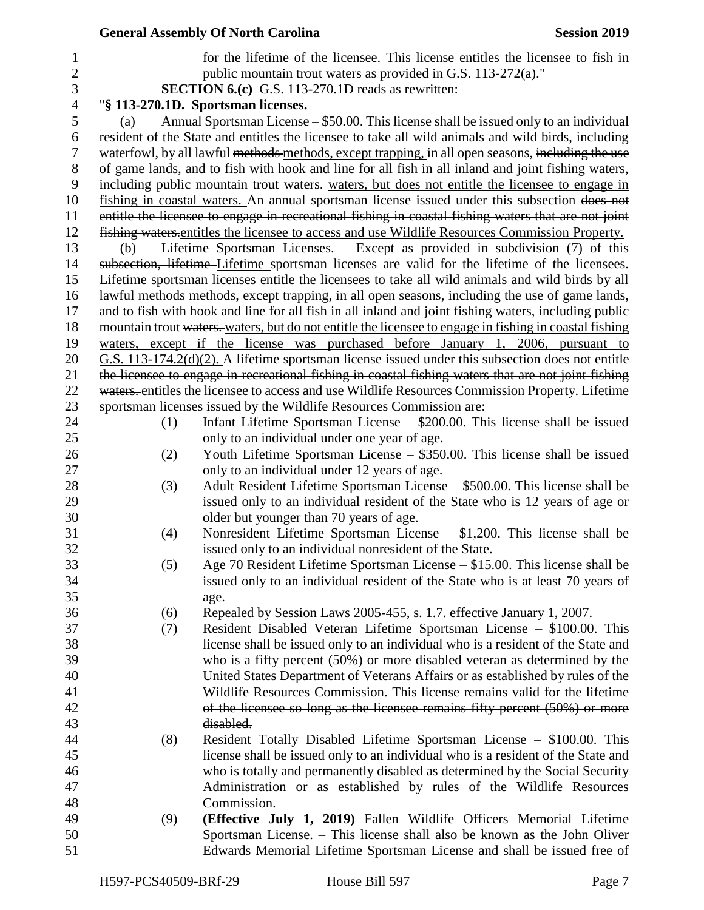|                |                                                               | <b>General Assembly Of North Carolina</b>                                                              | <b>Session 2019</b> |  |  |  |
|----------------|---------------------------------------------------------------|--------------------------------------------------------------------------------------------------------|---------------------|--|--|--|
| $\mathbf{1}$   |                                                               | for the lifetime of the licensee. This license entitles the licensee to fish in                        |                     |  |  |  |
| $\overline{c}$ | public mountain trout waters as provided in G.S. 113-272(a)." |                                                                                                        |                     |  |  |  |
| 3              |                                                               | <b>SECTION 6.(c)</b> G.S. 113-270.1D reads as rewritten:                                               |                     |  |  |  |
| $\overline{4}$ |                                                               | "§ 113-270.1D. Sportsman licenses.                                                                     |                     |  |  |  |
| 5              | (a)                                                           | Annual Sportsman License – \$50.00. This license shall be issued only to an individual                 |                     |  |  |  |
| 6              |                                                               | resident of the State and entitles the licensee to take all wild animals and wild birds, including     |                     |  |  |  |
| $\tau$         |                                                               |                                                                                                        |                     |  |  |  |
|                |                                                               | waterfowl, by all lawful methods methods, except trapping, in all open seasons, including the use      |                     |  |  |  |
| 8              |                                                               | of game lands, and to fish with hook and line for all fish in all inland and joint fishing waters,     |                     |  |  |  |
| 9              |                                                               | including public mountain trout waters. waters, but does not entitle the licensee to engage in         |                     |  |  |  |
| 10             |                                                               | fishing in coastal waters. An annual sportsman license issued under this subsection does not           |                     |  |  |  |
| 11             |                                                               | entitle the licensee to engage in recreational fishing in coastal fishing waters that are not joint    |                     |  |  |  |
| 12             |                                                               | fishing waters entitles the licensee to access and use Wildlife Resources Commission Property.         |                     |  |  |  |
| 13             | (b)                                                           | Lifetime Sportsman Licenses. – Except as provided in subdivision $(7)$ of this                         |                     |  |  |  |
| 14             |                                                               | subsection, lifetime Lifetime sportsman licenses are valid for the lifetime of the licensees.          |                     |  |  |  |
| 15             |                                                               | Lifetime sportsman licenses entitle the licensees to take all wild animals and wild birds by all       |                     |  |  |  |
| 16             |                                                               | lawful methods methods, except trapping, in all open seasons, including the use of game lands,         |                     |  |  |  |
| 17             |                                                               | and to fish with hook and line for all fish in all inland and joint fishing waters, including public   |                     |  |  |  |
| 18             |                                                               | mountain trout waters. waters, but do not entitle the licensee to engage in fishing in coastal fishing |                     |  |  |  |
| 19             |                                                               | waters, except if the license was purchased before January 1, 2006, pursuant to                        |                     |  |  |  |
| 20             |                                                               | $G.S.$ 113-174.2( $d$ )(2). A lifetime sportsman license issued under this subsection does not entitle |                     |  |  |  |
| 21             |                                                               | the licensee to engage in recreational fishing in coastal fishing waters that are not joint fishing    |                     |  |  |  |
| 22             |                                                               | waters. entitles the licensee to access and use Wildlife Resources Commission Property. Lifetime       |                     |  |  |  |
| 23             |                                                               | sportsman licenses issued by the Wildlife Resources Commission are:                                    |                     |  |  |  |
| 24             | (1)                                                           | Infant Lifetime Sportsman License $-$ \$200.00. This license shall be issued                           |                     |  |  |  |
| 25             |                                                               | only to an individual under one year of age.                                                           |                     |  |  |  |
| 26             | (2)                                                           | Youth Lifetime Sportsman License – \$350.00. This license shall be issued                              |                     |  |  |  |
| 27             |                                                               | only to an individual under 12 years of age.                                                           |                     |  |  |  |
| 28             | (3)                                                           | Adult Resident Lifetime Sportsman License – \$500.00. This license shall be                            |                     |  |  |  |
| 29             |                                                               | issued only to an individual resident of the State who is 12 years of age or                           |                     |  |  |  |
| 30             |                                                               | older but younger than 70 years of age.                                                                |                     |  |  |  |
| 31             | (4)                                                           | Nonresident Lifetime Sportsman License $-$ \$1,200. This license shall be                              |                     |  |  |  |
| 32             |                                                               | issued only to an individual nonresident of the State.                                                 |                     |  |  |  |
| 33             | (5)                                                           | Age 70 Resident Lifetime Sportsman License – \$15.00. This license shall be                            |                     |  |  |  |
| 34             |                                                               | issued only to an individual resident of the State who is at least 70 years of                         |                     |  |  |  |
| 35             |                                                               | age.                                                                                                   |                     |  |  |  |
| 36             | (6)                                                           | Repealed by Session Laws 2005-455, s. 1.7. effective January 1, 2007.                                  |                     |  |  |  |
| 37             | (7)                                                           | Resident Disabled Veteran Lifetime Sportsman License - \$100.00. This                                  |                     |  |  |  |
| 38             |                                                               | license shall be issued only to an individual who is a resident of the State and                       |                     |  |  |  |
| 39             |                                                               | who is a fifty percent (50%) or more disabled veteran as determined by the                             |                     |  |  |  |
| 40             |                                                               | United States Department of Veterans Affairs or as established by rules of the                         |                     |  |  |  |
| 41             |                                                               | Wildlife Resources Commission. This lieense remains valid for the lifetime                             |                     |  |  |  |
| 42             |                                                               | of the licensee so long as the licensee remains fifty percent $(50\%)$ or more                         |                     |  |  |  |
| 43             |                                                               | disabled.                                                                                              |                     |  |  |  |
| 44             | (8)                                                           | Resident Totally Disabled Lifetime Sportsman License - \$100.00. This                                  |                     |  |  |  |
| 45             |                                                               | license shall be issued only to an individual who is a resident of the State and                       |                     |  |  |  |
| 46             |                                                               | who is totally and permanently disabled as determined by the Social Security                           |                     |  |  |  |
| 47             |                                                               | Administration or as established by rules of the Wildlife Resources                                    |                     |  |  |  |
| 48             |                                                               | Commission.                                                                                            |                     |  |  |  |
| 49             | (9)                                                           | (Effective July 1, 2019) Fallen Wildlife Officers Memorial Lifetime                                    |                     |  |  |  |
| 50             |                                                               | Sportsman License. – This license shall also be known as the John Oliver                               |                     |  |  |  |
| 51             |                                                               | Edwards Memorial Lifetime Sportsman License and shall be issued free of                                |                     |  |  |  |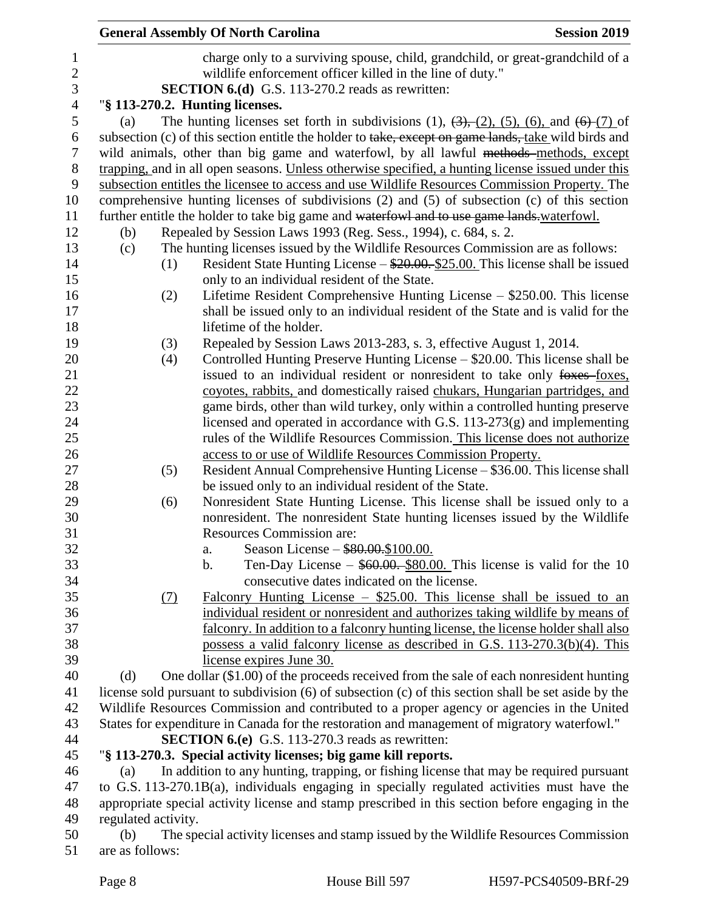|                |                     | <b>General Assembly Of North Carolina</b>                                                                      | <b>Session 2019</b> |
|----------------|---------------------|----------------------------------------------------------------------------------------------------------------|---------------------|
| $\mathbf{1}$   |                     | charge only to a surviving spouse, child, grandchild, or great-grandchild of a                                 |                     |
| $\sqrt{2}$     |                     | wildlife enforcement officer killed in the line of duty."                                                      |                     |
| 3              |                     | <b>SECTION 6.(d)</b> G.S. 113-270.2 reads as rewritten:                                                        |                     |
| $\overline{4}$ |                     | "§ 113-270.2. Hunting licenses.                                                                                |                     |
| $\mathfrak s$  | (a)                 | The hunting licenses set forth in subdivisions (1), $(3)$ , $(2)$ , $(5)$ , $(6)$ , and $(6)$ $(7)$ of         |                     |
| 6              |                     | subsection (c) of this section entitle the holder to take, except on game lands, take wild birds and           |                     |
| 7              |                     | wild animals, other than big game and waterfowl, by all lawful methods-methods, except                         |                     |
| 8              |                     | trapping, and in all open seasons. Unless otherwise specified, a hunting license issued under this             |                     |
| 9              |                     | subsection entitles the licensee to access and use Wildlife Resources Commission Property. The                 |                     |
| 10             |                     | comprehensive hunting licenses of subdivisions (2) and (5) of subsection (c) of this section                   |                     |
| 11             |                     | further entitle the holder to take big game and waterfowl and to use game lands waterfowl.                     |                     |
| 12             | (b)                 | Repealed by Session Laws 1993 (Reg. Sess., 1994), c. 684, s. 2.                                                |                     |
| 13             | (c)                 | The hunting licenses issued by the Wildlife Resources Commission are as follows:                               |                     |
| 14             |                     | Resident State Hunting License $-\frac{$20.00}{25.00}$ . This license shall be issued<br>(1)                   |                     |
| 15             |                     | only to an individual resident of the State.                                                                   |                     |
|                |                     | Lifetime Resident Comprehensive Hunting License – \$250.00. This license<br>(2)                                |                     |
|                |                     | shall be issued only to an individual resident of the State and is valid for the                               |                     |
|                |                     | lifetime of the holder.                                                                                        |                     |
|                |                     | Repealed by Session Laws 2013-283, s. 3, effective August 1, 2014.<br>(3)                                      |                     |
|                |                     | Controlled Hunting Preserve Hunting License – \$20.00. This license shall be<br>(4)                            |                     |
|                |                     | issued to an individual resident or nonresident to take only foxes-foxes,                                      |                     |
|                |                     | coyotes, rabbits, and domestically raised chukars, Hungarian partridges, and                                   |                     |
|                |                     | game birds, other than wild turkey, only within a controlled hunting preserve                                  |                     |
|                |                     | licensed and operated in accordance with G.S. $113-273(g)$ and implementing                                    |                     |
|                |                     | rules of the Wildlife Resources Commission. This license does not authorize                                    |                     |
|                |                     | access to or use of Wildlife Resources Commission Property.                                                    |                     |
|                |                     | Resident Annual Comprehensive Hunting License - \$36.00. This license shall<br>(5)                             |                     |
|                |                     | be issued only to an individual resident of the State.                                                         |                     |
|                |                     | Nonresident State Hunting License. This license shall be issued only to a<br>(6)                               |                     |
|                |                     | nonresident. The nonresident State hunting licenses issued by the Wildlife<br><b>Resources Commission are:</b> |                     |
|                |                     | Season License - \$80.00.\$100.00.<br>a.                                                                       |                     |
|                |                     | Ten-Day License $-$ \$60.00. \$80.00. This license is valid for the 10<br>b.                                   |                     |
|                |                     | consecutive dates indicated on the license.                                                                    |                     |
|                |                     | Falconry Hunting License $-$ \$25.00. This license shall be issued to an<br>$\Omega$                           |                     |
|                |                     | individual resident or nonresident and authorizes taking wildlife by means of                                  |                     |
|                |                     | falconry. In addition to a falconry hunting license, the license holder shall also                             |                     |
|                |                     | possess a valid falconry license as described in G.S. 113-270.3(b)(4). This                                    |                     |
|                |                     | license expires June 30.                                                                                       |                     |
|                | (d)                 | One dollar (\$1.00) of the proceeds received from the sale of each nonresident hunting                         |                     |
|                |                     | license sold pursuant to subdivision (6) of subsection (c) of this section shall be set aside by the           |                     |
|                |                     | Wildlife Resources Commission and contributed to a proper agency or agencies in the United                     |                     |
|                |                     | States for expenditure in Canada for the restoration and management of migratory waterfowl."                   |                     |
|                |                     | <b>SECTION 6.(e)</b> G.S. 113-270.3 reads as rewritten:                                                        |                     |
|                |                     | "§ 113-270.3. Special activity licenses; big game kill reports.                                                |                     |
|                | (a)                 | In addition to any hunting, trapping, or fishing license that may be required pursuant                         |                     |
|                |                     | to G.S. 113-270.1B(a), individuals engaging in specially regulated activities must have the                    |                     |
|                |                     | appropriate special activity license and stamp prescribed in this section before engaging in the               |                     |
|                | regulated activity. |                                                                                                                |                     |
|                | (b)                 | The special activity licenses and stamp issued by the Wildlife Resources Commission                            |                     |
| 51             | are as follows:     |                                                                                                                |                     |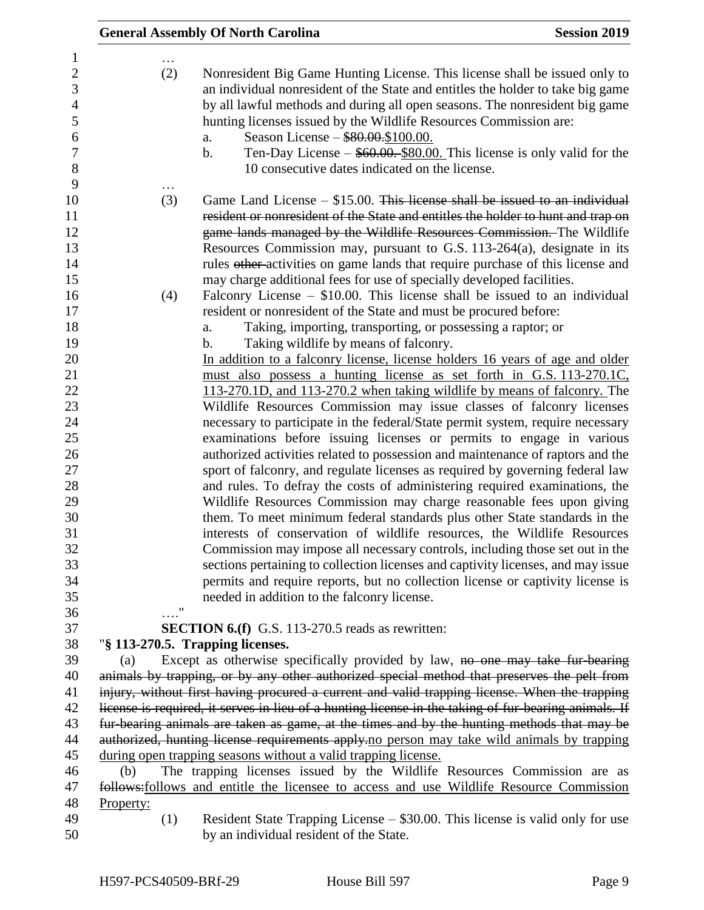|                                                                                                    | <b>General Assembly Of North Carolina</b><br><b>Session 2019</b>                                                                                                                                                                                                                                                                                                                                                                                                                                                                                                                                                                                                                                                                                                                                                                                                                                                                                                                                                                                                                                                                                                                                                                                                       |  |
|----------------------------------------------------------------------------------------------------|------------------------------------------------------------------------------------------------------------------------------------------------------------------------------------------------------------------------------------------------------------------------------------------------------------------------------------------------------------------------------------------------------------------------------------------------------------------------------------------------------------------------------------------------------------------------------------------------------------------------------------------------------------------------------------------------------------------------------------------------------------------------------------------------------------------------------------------------------------------------------------------------------------------------------------------------------------------------------------------------------------------------------------------------------------------------------------------------------------------------------------------------------------------------------------------------------------------------------------------------------------------------|--|
| 1<br>$\overline{2}$<br>3<br>$\overline{4}$<br>5<br>6<br>7<br>8<br>9                                | (2)<br>Nonresident Big Game Hunting License. This license shall be issued only to<br>an individual nonresident of the State and entitles the holder to take big game<br>by all lawful methods and during all open seasons. The nonresident big game<br>hunting licenses issued by the Wildlife Resources Commission are:<br>Season License – \$80.00.\$100.00.<br>a.<br>Ten-Day License $-$ \$60.00. \$80.00. This license is only valid for the<br>b.<br>10 consecutive dates indicated on the license.                                                                                                                                                                                                                                                                                                                                                                                                                                                                                                                                                                                                                                                                                                                                                               |  |
| 10<br>11<br>12<br>13<br>14<br>15<br>16                                                             | (3)<br>Game Land License $-$ \$15.00. This license shall be issued to an individual<br>resident or nonresident of the State and entitles the holder to hunt and trap on<br>game lands managed by the Wildlife Resources Commission. The Wildlife<br>Resources Commission may, pursuant to G.S. $113-264(a)$ , designate in its<br>rules other-activities on game lands that require purchase of this license and<br>may charge additional fees for use of specially developed facilities.<br>Falconry License $-$ \$10.00. This license shall be issued to an individual<br>(4)                                                                                                                                                                                                                                                                                                                                                                                                                                                                                                                                                                                                                                                                                        |  |
| 17<br>18<br>19                                                                                     | resident or nonresident of the State and must be procured before:<br>Taking, importing, transporting, or possessing a raptor; or<br>a.<br>Taking wildlife by means of falconry.<br>b.                                                                                                                                                                                                                                                                                                                                                                                                                                                                                                                                                                                                                                                                                                                                                                                                                                                                                                                                                                                                                                                                                  |  |
| 20<br>21<br>22<br>23<br>24<br>25<br>26<br>27<br>28<br>29<br>30<br>31<br>32<br>33<br>34<br>35<br>36 | In addition to a falconry license, license holders 16 years of age and older<br>must also possess a hunting license as set forth in G.S. 113-270.1C,<br>113-270.1D, and 113-270.2 when taking wildlife by means of falconry. The<br>Wildlife Resources Commission may issue classes of falconry licenses<br>necessary to participate in the federal/State permit system, require necessary<br>examinations before issuing licenses or permits to engage in various<br>authorized activities related to possession and maintenance of raptors and the<br>sport of falconry, and regulate licenses as required by governing federal law<br>and rules. To defray the costs of administering required examinations, the<br>Wildlife Resources Commission may charge reasonable fees upon giving<br>them. To meet minimum federal standards plus other State standards in the<br>interests of conservation of wildlife resources, the Wildlife Resources<br>Commission may impose all necessary controls, including those set out in the<br>sections pertaining to collection licenses and captivity licenses, and may issue<br>permits and require reports, but no collection license or captivity license is<br>needed in addition to the falconry license.<br>$\ldots$ " |  |
| 37                                                                                                 | <b>SECTION 6.(f)</b> G.S. 113-270.5 reads as rewritten:                                                                                                                                                                                                                                                                                                                                                                                                                                                                                                                                                                                                                                                                                                                                                                                                                                                                                                                                                                                                                                                                                                                                                                                                                |  |
| 38<br>39<br>40<br>41                                                                               | "§ 113-270.5. Trapping licenses.<br>Except as otherwise specifically provided by law, no one may take fur-bearing<br>(a)<br>animals by trapping, or by any other authorized special method that preserves the pelt from<br>injury, without first having procured a current and valid trapping license. When the trapping                                                                                                                                                                                                                                                                                                                                                                                                                                                                                                                                                                                                                                                                                                                                                                                                                                                                                                                                               |  |
| 42<br>43<br>44                                                                                     | license is required, it serves in lieu of a hunting license in the taking of fur-bearing animals. If<br>fur bearing animals are taken as game, at the times and by the hunting methods that may be<br>authorized, hunting license requirements apply-no person may take wild animals by trapping                                                                                                                                                                                                                                                                                                                                                                                                                                                                                                                                                                                                                                                                                                                                                                                                                                                                                                                                                                       |  |
| 45<br>46<br>47<br>48                                                                               | during open trapping seasons without a valid trapping license.<br>The trapping licenses issued by the Wildlife Resources Commission are as<br>(b)<br>follows: follows and entitle the licensee to access and use Wildlife Resource Commission<br>Property:                                                                                                                                                                                                                                                                                                                                                                                                                                                                                                                                                                                                                                                                                                                                                                                                                                                                                                                                                                                                             |  |
| 49<br>50                                                                                           | Resident State Trapping License - \$30.00. This license is valid only for use<br>(1)<br>by an individual resident of the State.                                                                                                                                                                                                                                                                                                                                                                                                                                                                                                                                                                                                                                                                                                                                                                                                                                                                                                                                                                                                                                                                                                                                        |  |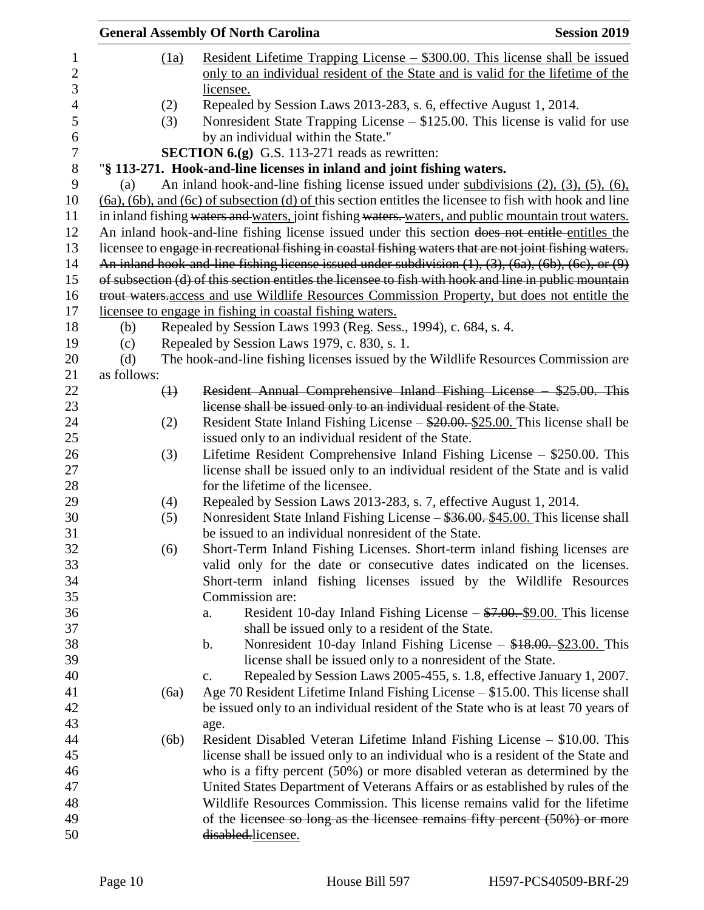|                    |                   | <b>General Assembly Of North Carolina</b>                                                                                                                         | <b>Session 2019</b> |
|--------------------|-------------------|-------------------------------------------------------------------------------------------------------------------------------------------------------------------|---------------------|
|                    | (1a)              | Resident Lifetime Trapping License $-$ \$300.00. This license shall be issued<br>only to an individual resident of the State and is valid for the lifetime of the |                     |
|                    |                   | licensee.                                                                                                                                                         |                     |
|                    | (2)               | Repealed by Session Laws 2013-283, s. 6, effective August 1, 2014.                                                                                                |                     |
|                    | (3)               | Nonresident State Trapping License $-$ \$125.00. This license is valid for use                                                                                    |                     |
|                    |                   | by an individual within the State."<br><b>SECTION 6.(g)</b> G.S. 113-271 reads as rewritten:                                                                      |                     |
|                    |                   | "§ 113-271. Hook-and-line licenses in inland and joint fishing waters.                                                                                            |                     |
| (a)                |                   | An inland hook-and-line fishing license issued under subdivisions $(2)$ , $(3)$ , $(5)$ , $(6)$ ,                                                                 |                     |
|                    |                   | $(6a)$ , $(6b)$ , and $(6c)$ of subsection $(d)$ of this section entitles the licensee to fish with hook and line                                                 |                     |
|                    |                   | in inland fishing waters and waters, joint fishing waters. waters, and public mountain trout waters.                                                              |                     |
|                    |                   | An inland hook-and-line fishing license issued under this section does not entitle entitles the                                                                   |                     |
|                    |                   | licensee to engage in recreational fishing in coastal fishing waters that are not joint fishing waters.                                                           |                     |
|                    |                   | An inland hook-and-line fishing license issued under subdivision $(1)$ , $(3)$ , $(6a)$ , $(6b)$ , $(6c)$ , or $(9)$                                              |                     |
|                    |                   | of subsection (d) of this section entitles the licensee to fish with hook and line in public mountain                                                             |                     |
|                    |                   | trout waters access and use Wildlife Resources Commission Property, but does not entitle the                                                                      |                     |
|                    |                   | licensee to engage in fishing in coastal fishing waters.                                                                                                          |                     |
|                    |                   | Repealed by Session Laws 1993 (Reg. Sess., 1994), c. 684, s. 4.                                                                                                   |                     |
| (b)                |                   |                                                                                                                                                                   |                     |
| (c)                |                   | Repealed by Session Laws 1979, c. 830, s. 1.                                                                                                                      |                     |
| (d)<br>as follows: |                   | The hook-and-line fishing licenses issued by the Wildlife Resources Commission are                                                                                |                     |
|                    |                   |                                                                                                                                                                   |                     |
|                    | $\leftrightarrow$ | Resident Annual Comprehensive Inland Fishing License \$25.00. This                                                                                                |                     |
|                    |                   | license shall be issued only to an individual resident of the State.                                                                                              |                     |
|                    | (2)               | Resident State Inland Fishing License $-\frac{$20.00}{25.00}$ . This license shall be                                                                             |                     |
|                    |                   | issued only to an individual resident of the State.                                                                                                               |                     |
|                    | (3)               | Lifetime Resident Comprehensive Inland Fishing License $-$ \$250.00. This                                                                                         |                     |
|                    |                   | license shall be issued only to an individual resident of the State and is valid                                                                                  |                     |
|                    |                   | for the lifetime of the licensee.                                                                                                                                 |                     |
|                    | (4)               | Repealed by Session Laws 2013-283, s. 7, effective August 1, 2014.                                                                                                |                     |
|                    | (5)               | Nonresident State Inland Fishing License – \$36.00. \$45.00. This license shall                                                                                   |                     |
|                    |                   | be issued to an individual nonresident of the State.                                                                                                              |                     |
|                    | (6)               | Short-Term Inland Fishing Licenses. Short-term inland fishing licenses are                                                                                        |                     |
|                    |                   | valid only for the date or consecutive dates indicated on the licenses.                                                                                           |                     |
|                    |                   | Short-term inland fishing licenses issued by the Wildlife Resources                                                                                               |                     |
|                    |                   | Commission are:                                                                                                                                                   |                     |
|                    |                   | Resident 10-day Inland Fishing License $-\frac{$7.00}{9.00}$ . This license<br>a.                                                                                 |                     |
|                    |                   | shall be issued only to a resident of the State.                                                                                                                  |                     |
|                    |                   | Nonresident 10-day Inland Fishing License $-$ \$18.00. $\S$ 23.00. This<br>$\mathbf b$ .                                                                          |                     |
|                    |                   | license shall be issued only to a nonresident of the State.                                                                                                       |                     |
|                    |                   | Repealed by Session Laws 2005-455, s. 1.8, effective January 1, 2007.<br>c.                                                                                       |                     |
|                    | (6a)              | Age 70 Resident Lifetime Inland Fishing License – \$15.00. This license shall                                                                                     |                     |
|                    |                   | be issued only to an individual resident of the State who is at least 70 years of                                                                                 |                     |
|                    |                   | age.                                                                                                                                                              |                     |
|                    | (6b)              | Resident Disabled Veteran Lifetime Inland Fishing License – \$10.00. This                                                                                         |                     |
|                    |                   | license shall be issued only to an individual who is a resident of the State and                                                                                  |                     |
|                    |                   | who is a fifty percent (50%) or more disabled veteran as determined by the                                                                                        |                     |
|                    |                   | United States Department of Veterans Affairs or as established by rules of the                                                                                    |                     |
|                    |                   | Wildlife Resources Commission. This license remains valid for the lifetime                                                                                        |                     |
|                    |                   | of the licensee so long as the licensee remains fifty percent (50%) or more                                                                                       |                     |
|                    |                   | disabled.licensee.                                                                                                                                                |                     |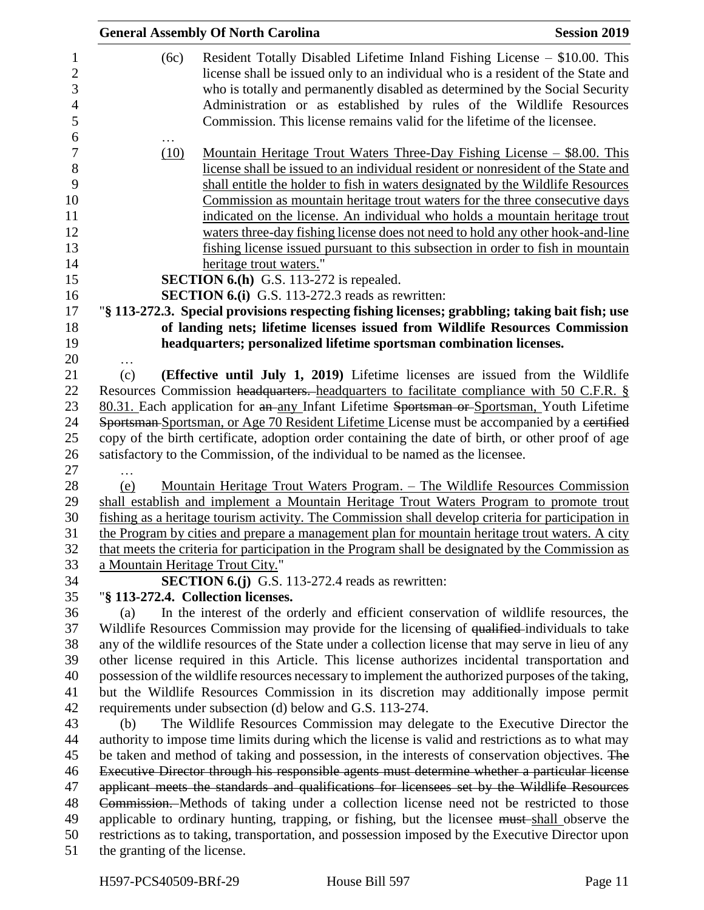|                                  | <b>General Assembly Of North Carolina</b>                                                                                                                                                                                                                                                                                                                                                                                                                                                                                                                                                                             | <b>Session 2019</b> |
|----------------------------------|-----------------------------------------------------------------------------------------------------------------------------------------------------------------------------------------------------------------------------------------------------------------------------------------------------------------------------------------------------------------------------------------------------------------------------------------------------------------------------------------------------------------------------------------------------------------------------------------------------------------------|---------------------|
| (6c)                             | Resident Totally Disabled Lifetime Inland Fishing License – \$10.00. This<br>license shall be issued only to an individual who is a resident of the State and<br>who is totally and permanently disabled as determined by the Social Security<br>Administration or as established by rules of the Wildlife Resources<br>Commission. This license remains valid for the lifetime of the licensee.                                                                                                                                                                                                                      |                     |
| (10)                             | <u> Mountain Heritage Trout Waters Three-Day Fishing License – \$8.00. This</u><br>license shall be issued to an individual resident or nonresident of the State and<br>shall entitle the holder to fish in waters designated by the Wildlife Resources<br>Commission as mountain heritage trout waters for the three consecutive days<br>indicated on the license. An individual who holds a mountain heritage trout<br>waters three-day fishing license does not need to hold any other hook-and-line<br>fishing license issued pursuant to this subsection in order to fish in mountain<br>heritage trout waters." |                     |
|                                  | <b>SECTION 6.(h)</b> G.S. 113-272 is repealed.                                                                                                                                                                                                                                                                                                                                                                                                                                                                                                                                                                        |                     |
|                                  | <b>SECTION 6.(i)</b> G.S. 113-272.3 reads as rewritten:                                                                                                                                                                                                                                                                                                                                                                                                                                                                                                                                                               |                     |
|                                  | "§ 113-272.3. Special provisions respecting fishing licenses; grabbling; taking bait fish; use                                                                                                                                                                                                                                                                                                                                                                                                                                                                                                                        |                     |
|                                  | of landing nets; lifetime licenses issued from Wildlife Resources Commission                                                                                                                                                                                                                                                                                                                                                                                                                                                                                                                                          |                     |
|                                  | headquarters; personalized lifetime sportsman combination licenses.                                                                                                                                                                                                                                                                                                                                                                                                                                                                                                                                                   |                     |
| $\cdots$                         |                                                                                                                                                                                                                                                                                                                                                                                                                                                                                                                                                                                                                       |                     |
| (c)                              | (Effective until July 1, 2019) Lifetime licenses are issued from the Wildlife                                                                                                                                                                                                                                                                                                                                                                                                                                                                                                                                         |                     |
|                                  | Resources Commission headquarters. headquarters to facilitate compliance with 50 C.F.R. §                                                                                                                                                                                                                                                                                                                                                                                                                                                                                                                             |                     |
|                                  | 80.31. Each application for an any Infant Lifetime Sportsman or Sportsman, Youth Lifetime                                                                                                                                                                                                                                                                                                                                                                                                                                                                                                                             |                     |
|                                  | Sportsman-Sportsman, or Age 70 Resident Lifetime License must be accompanied by a certified                                                                                                                                                                                                                                                                                                                                                                                                                                                                                                                           |                     |
|                                  | copy of the birth certificate, adoption order containing the date of birth, or other proof of age<br>satisfactory to the Commission, of the individual to be named as the licensee.                                                                                                                                                                                                                                                                                                                                                                                                                                   |                     |
|                                  |                                                                                                                                                                                                                                                                                                                                                                                                                                                                                                                                                                                                                       |                     |
| (e)                              | <u> Mountain Heritage Trout Waters Program. – The Wildlife Resources Commission</u>                                                                                                                                                                                                                                                                                                                                                                                                                                                                                                                                   |                     |
|                                  | shall establish and implement a Mountain Heritage Trout Waters Program to promote trout                                                                                                                                                                                                                                                                                                                                                                                                                                                                                                                               |                     |
|                                  | fishing as a heritage tourism activity. The Commission shall develop criteria for participation in                                                                                                                                                                                                                                                                                                                                                                                                                                                                                                                    |                     |
|                                  | the Program by cities and prepare a management plan for mountain heritage trout waters. A city                                                                                                                                                                                                                                                                                                                                                                                                                                                                                                                        |                     |
|                                  | that meets the criteria for participation in the Program shall be designated by the Commission as                                                                                                                                                                                                                                                                                                                                                                                                                                                                                                                     |                     |
| a Mountain Heritage Trout City." |                                                                                                                                                                                                                                                                                                                                                                                                                                                                                                                                                                                                                       |                     |
|                                  | <b>SECTION 6.(j)</b> G.S. 113-272.4 reads as rewritten:                                                                                                                                                                                                                                                                                                                                                                                                                                                                                                                                                               |                     |
|                                  | "§ 113-272.4. Collection licenses.                                                                                                                                                                                                                                                                                                                                                                                                                                                                                                                                                                                    |                     |
| (a)                              | In the interest of the orderly and efficient conservation of wildlife resources, the<br>Wildlife Resources Commission may provide for the licensing of qualified-individuals to take                                                                                                                                                                                                                                                                                                                                                                                                                                  |                     |
|                                  | any of the wildlife resources of the State under a collection license that may serve in lieu of any                                                                                                                                                                                                                                                                                                                                                                                                                                                                                                                   |                     |
|                                  | other license required in this Article. This license authorizes incidental transportation and                                                                                                                                                                                                                                                                                                                                                                                                                                                                                                                         |                     |
|                                  | possession of the wildlife resources necessary to implement the authorized purposes of the taking,                                                                                                                                                                                                                                                                                                                                                                                                                                                                                                                    |                     |
|                                  | but the Wildlife Resources Commission in its discretion may additionally impose permit                                                                                                                                                                                                                                                                                                                                                                                                                                                                                                                                |                     |
|                                  | requirements under subsection (d) below and G.S. 113-274.                                                                                                                                                                                                                                                                                                                                                                                                                                                                                                                                                             |                     |
| (b)                              | The Wildlife Resources Commission may delegate to the Executive Director the                                                                                                                                                                                                                                                                                                                                                                                                                                                                                                                                          |                     |
|                                  | authority to impose time limits during which the license is valid and restrictions as to what may                                                                                                                                                                                                                                                                                                                                                                                                                                                                                                                     |                     |
|                                  | be taken and method of taking and possession, in the interests of conservation objectives. The                                                                                                                                                                                                                                                                                                                                                                                                                                                                                                                        |                     |
|                                  | Executive Director through his responsible agents must determine whether a particular license                                                                                                                                                                                                                                                                                                                                                                                                                                                                                                                         |                     |
|                                  | applicant meets the standards and qualifications for licensees set by the Wildlife Resources                                                                                                                                                                                                                                                                                                                                                                                                                                                                                                                          |                     |
|                                  | Commission. Methods of taking under a collection license need not be restricted to those                                                                                                                                                                                                                                                                                                                                                                                                                                                                                                                              |                     |
|                                  | applicable to ordinary hunting, trapping, or fishing, but the licensee must-shall observe the                                                                                                                                                                                                                                                                                                                                                                                                                                                                                                                         |                     |
|                                  | restrictions as to taking, transportation, and possession imposed by the Executive Director upon                                                                                                                                                                                                                                                                                                                                                                                                                                                                                                                      |                     |
| the granting of the license.     |                                                                                                                                                                                                                                                                                                                                                                                                                                                                                                                                                                                                                       |                     |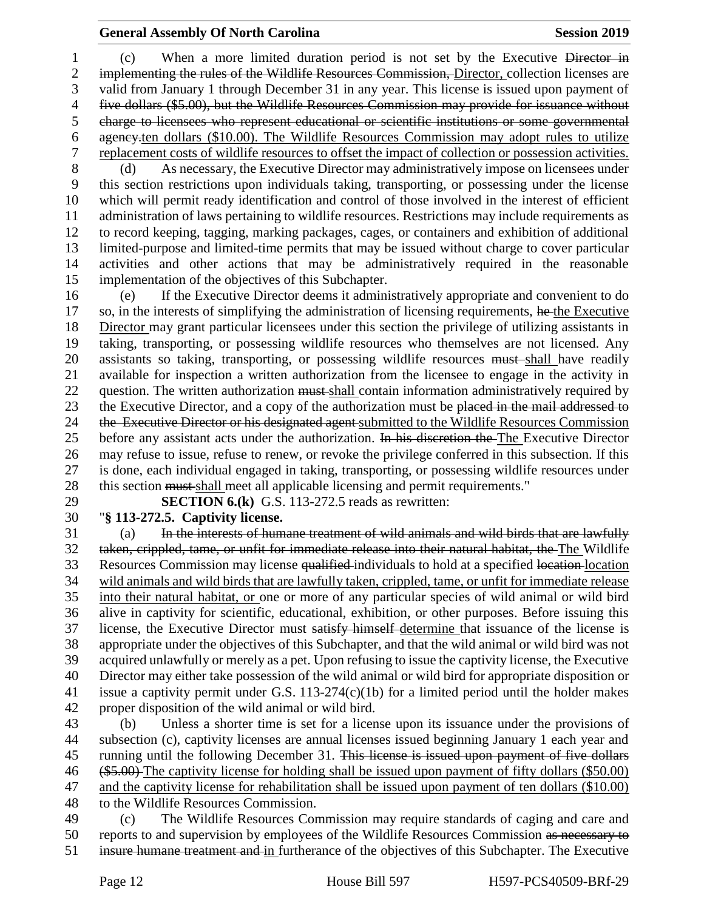(c) When a more limited duration period is not set by the Executive Director in 2 implementing the rules of the Wildlife Resources Commission, Director, collection licenses are valid from January 1 through December 31 in any year. This license is issued upon payment of five dollars (\$5.00), but the Wildlife Resources Commission may provide for issuance without charge to licensees who represent educational or scientific institutions or some governmental agency.ten dollars (\$10.00). The Wildlife Resources Commission may adopt rules to utilize replacement costs of wildlife resources to offset the impact of collection or possession activities. (d) As necessary, the Executive Director may administratively impose on licensees under this section restrictions upon individuals taking, transporting, or possessing under the license which will permit ready identification and control of those involved in the interest of efficient administration of laws pertaining to wildlife resources. Restrictions may include requirements as to record keeping, tagging, marking packages, cages, or containers and exhibition of additional

limited-purpose and limited-time permits that may be issued without charge to cover particular

 activities and other actions that may be administratively required in the reasonable implementation of the objectives of this Subchapter.

 (e) If the Executive Director deems it administratively appropriate and convenient to do 17 so, in the interests of simplifying the administration of licensing requirements, he the Executive Director may grant particular licensees under this section the privilege of utilizing assistants in taking, transporting, or possessing wildlife resources who themselves are not licensed. Any 20 assistants so taking, transporting, or possessing wildlife resources must shall have readily available for inspection a written authorization from the licensee to engage in the activity in 22 question. The written authorization must shall contain information administratively required by 23 the Executive Director, and a copy of the authorization must be placed in the mail addressed to 24 the Executive Director or his designated agent submitted to the Wildlife Resources Commission 25 before any assistant acts under the authorization. In his discretion the The Executive Director may refuse to issue, refuse to renew, or revoke the privilege conferred in this subsection. If this is done, each individual engaged in taking, transporting, or possessing wildlife resources under 28 this section must shall meet all applicable licensing and permit requirements."

 **SECTION 6.(k)** G.S. 113-272.5 reads as rewritten: "**§ 113-272.5. Captivity license.**

 (a) In the interests of humane treatment of wild animals and wild birds that are lawfully taken, crippled, tame, or unfit for immediate release into their natural habitat, the The Wildlife 33 Resources Commission may license qualified individuals to hold at a specified location location wild animals and wild birds that are lawfully taken, crippled, tame, or unfit for immediate release into their natural habitat, or one or more of any particular species of wild animal or wild bird alive in captivity for scientific, educational, exhibition, or other purposes. Before issuing this 37 license, the Executive Director must satisfy himself-determine that issuance of the license is appropriate under the objectives of this Subchapter, and that the wild animal or wild bird was not acquired unlawfully or merely as a pet. Upon refusing to issue the captivity license, the Executive Director may either take possession of the wild animal or wild bird for appropriate disposition or issue a captivity permit under G.S. 113-274(c)(1b) for a limited period until the holder makes proper disposition of the wild animal or wild bird.

 (b) Unless a shorter time is set for a license upon its issuance under the provisions of subsection (c), captivity licenses are annual licenses issued beginning January 1 each year and 45 running until the following December 31. This license is issued upon payment of five dollars (\$5.00) The captivity license for holding shall be issued upon payment of fifty dollars (\$50.00) and the captivity license for rehabilitation shall be issued upon payment of ten dollars (\$10.00) to the Wildlife Resources Commission.

 (c) The Wildlife Resources Commission may require standards of caging and care and reports to and supervision by employees of the Wildlife Resources Commission as necessary to insure humane treatment and in furtherance of the objectives of this Subchapter. The Executive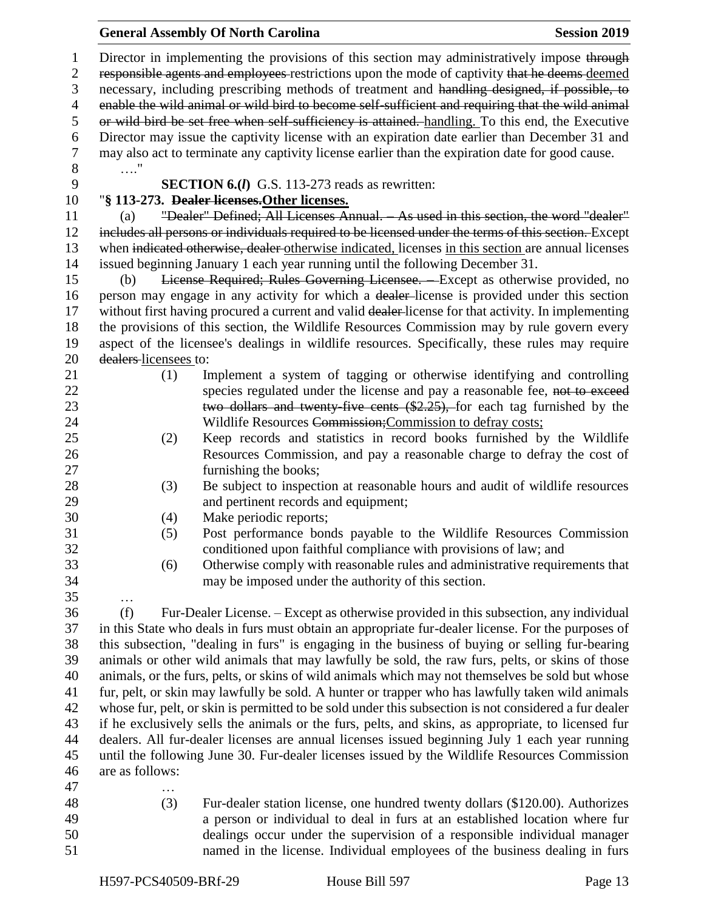| 1<br>$\mathbf{2}$<br>3<br>$\overline{4}$ | Director in implementing the provisions of this section may administratively impose through<br>responsible agents and employees restrictions upon the mode of captivity that he deems deemed<br>necessary, including prescribing methods of treatment and handling designed, if possible, to<br>enable the wild animal or wild bird to become self-sufficient and requiring that the wild animal |                                                                                                     |  |  |  |
|------------------------------------------|--------------------------------------------------------------------------------------------------------------------------------------------------------------------------------------------------------------------------------------------------------------------------------------------------------------------------------------------------------------------------------------------------|-----------------------------------------------------------------------------------------------------|--|--|--|
| $\mathfrak s$<br>6                       | or wild bird be set free when self-sufficiency is attained. handling. To this end, the Executive<br>Director may issue the captivity license with an expiration date earlier than December 31 and                                                                                                                                                                                                |                                                                                                     |  |  |  |
| $\tau$<br>$8\,$                          | may also act to terminate any captivity license earlier than the expiration date for good cause.<br>$\ldots$ "                                                                                                                                                                                                                                                                                   |                                                                                                     |  |  |  |
| 9                                        |                                                                                                                                                                                                                                                                                                                                                                                                  | <b>SECTION 6.(I)</b> G.S. 113-273 reads as rewritten:                                               |  |  |  |
| 10                                       |                                                                                                                                                                                                                                                                                                                                                                                                  | "§ 113-273. Dealer licenses. Other licenses.                                                        |  |  |  |
| 11                                       | (a)                                                                                                                                                                                                                                                                                                                                                                                              | "Dealer" Defined; All Licenses Annual. As used in this section, the word "dealer"                   |  |  |  |
| 12                                       |                                                                                                                                                                                                                                                                                                                                                                                                  | includes all persons or individuals required to be licensed under the terms of this section. Except |  |  |  |
| 13                                       |                                                                                                                                                                                                                                                                                                                                                                                                  | when indicated otherwise, dealer otherwise indicated, licenses in this section are annual licenses  |  |  |  |
| 14                                       |                                                                                                                                                                                                                                                                                                                                                                                                  | issued beginning January 1 each year running until the following December 31.                       |  |  |  |
| 15                                       | (b)                                                                                                                                                                                                                                                                                                                                                                                              | License Required; Rules Governing Licensee. - Except as otherwise provided, no                      |  |  |  |
| 16                                       |                                                                                                                                                                                                                                                                                                                                                                                                  | person may engage in any activity for which a dealer-license is provided under this section         |  |  |  |
| 17                                       |                                                                                                                                                                                                                                                                                                                                                                                                  | without first having procured a current and valid dealer-license for that activity. In implementing |  |  |  |
| 18                                       |                                                                                                                                                                                                                                                                                                                                                                                                  | the provisions of this section, the Wildlife Resources Commission may by rule govern every          |  |  |  |
| 19                                       |                                                                                                                                                                                                                                                                                                                                                                                                  | aspect of the licensee's dealings in wildlife resources. Specifically, these rules may require      |  |  |  |
| 20                                       | dealers-licensees to:                                                                                                                                                                                                                                                                                                                                                                            |                                                                                                     |  |  |  |
| 21                                       | (1)                                                                                                                                                                                                                                                                                                                                                                                              | Implement a system of tagging or otherwise identifying and controlling                              |  |  |  |
| 22                                       |                                                                                                                                                                                                                                                                                                                                                                                                  | species regulated under the license and pay a reasonable fee, not to exceed                         |  |  |  |
| 23                                       |                                                                                                                                                                                                                                                                                                                                                                                                  | two dollars and twenty five cents (\$2.25), for each tag furnished by the                           |  |  |  |
| 24                                       |                                                                                                                                                                                                                                                                                                                                                                                                  | Wildlife Resources Commission; Commission to defray costs;                                          |  |  |  |
| 25                                       | (2)                                                                                                                                                                                                                                                                                                                                                                                              | Keep records and statistics in record books furnished by the Wildlife                               |  |  |  |
| 26                                       |                                                                                                                                                                                                                                                                                                                                                                                                  | Resources Commission, and pay a reasonable charge to defray the cost of                             |  |  |  |
| 27                                       |                                                                                                                                                                                                                                                                                                                                                                                                  | furnishing the books;                                                                               |  |  |  |
| 28                                       | (3)                                                                                                                                                                                                                                                                                                                                                                                              | Be subject to inspection at reasonable hours and audit of wildlife resources                        |  |  |  |
| 29                                       |                                                                                                                                                                                                                                                                                                                                                                                                  | and pertinent records and equipment;                                                                |  |  |  |
| 30                                       | (4)                                                                                                                                                                                                                                                                                                                                                                                              | Make periodic reports;                                                                              |  |  |  |
| 31                                       | (5)                                                                                                                                                                                                                                                                                                                                                                                              | Post performance bonds payable to the Wildlife Resources Commission                                 |  |  |  |
| 32                                       |                                                                                                                                                                                                                                                                                                                                                                                                  | conditioned upon faithful compliance with provisions of law; and                                    |  |  |  |
| 33                                       | (6)                                                                                                                                                                                                                                                                                                                                                                                              | Otherwise comply with reasonable rules and administrative requirements that                         |  |  |  |
| 34                                       |                                                                                                                                                                                                                                                                                                                                                                                                  | may be imposed under the authority of this section.                                                 |  |  |  |
| 35                                       | .                                                                                                                                                                                                                                                                                                                                                                                                |                                                                                                     |  |  |  |
| 36                                       | (f)                                                                                                                                                                                                                                                                                                                                                                                              | Fur-Dealer License. – Except as otherwise provided in this subsection, any individual               |  |  |  |
| 37                                       |                                                                                                                                                                                                                                                                                                                                                                                                  | in this State who deals in furs must obtain an appropriate fur-dealer license. For the purposes of  |  |  |  |
| 38                                       |                                                                                                                                                                                                                                                                                                                                                                                                  | this subsection, "dealing in furs" is engaging in the business of buying or selling fur-bearing     |  |  |  |
| 39                                       |                                                                                                                                                                                                                                                                                                                                                                                                  | animals or other wild animals that may lawfully be sold, the raw furs, pelts, or skins of those     |  |  |  |
| 40                                       |                                                                                                                                                                                                                                                                                                                                                                                                  | animals, or the furs, pelts, or skins of wild animals which may not themselves be sold but whose    |  |  |  |
| 41                                       | fur, pelt, or skin may lawfully be sold. A hunter or trapper who has lawfully taken wild animals                                                                                                                                                                                                                                                                                                 |                                                                                                     |  |  |  |
| 42                                       | whose fur, pelt, or skin is permitted to be sold under this subsection is not considered a fur dealer                                                                                                                                                                                                                                                                                            |                                                                                                     |  |  |  |
| 43                                       | if he exclusively sells the animals or the furs, pelts, and skins, as appropriate, to licensed fur                                                                                                                                                                                                                                                                                               |                                                                                                     |  |  |  |
| 44                                       | dealers. All fur-dealer licenses are annual licenses issued beginning July 1 each year running                                                                                                                                                                                                                                                                                                   |                                                                                                     |  |  |  |
| 45                                       |                                                                                                                                                                                                                                                                                                                                                                                                  | until the following June 30. Fur-dealer licenses issued by the Wildlife Resources Commission        |  |  |  |
| 46                                       | are as follows:                                                                                                                                                                                                                                                                                                                                                                                  |                                                                                                     |  |  |  |
| 47                                       |                                                                                                                                                                                                                                                                                                                                                                                                  |                                                                                                     |  |  |  |
| 48                                       | (3)                                                                                                                                                                                                                                                                                                                                                                                              | Fur-dealer station license, one hundred twenty dollars (\$120.00). Authorizes                       |  |  |  |
| 49                                       |                                                                                                                                                                                                                                                                                                                                                                                                  | a person or individual to deal in furs at an established location where fur                         |  |  |  |
| 50                                       |                                                                                                                                                                                                                                                                                                                                                                                                  | dealings occur under the supervision of a responsible individual manager                            |  |  |  |

General Assembly Of North Carolina **Session 2019** 

named in the license. Individual employees of the business dealing in furs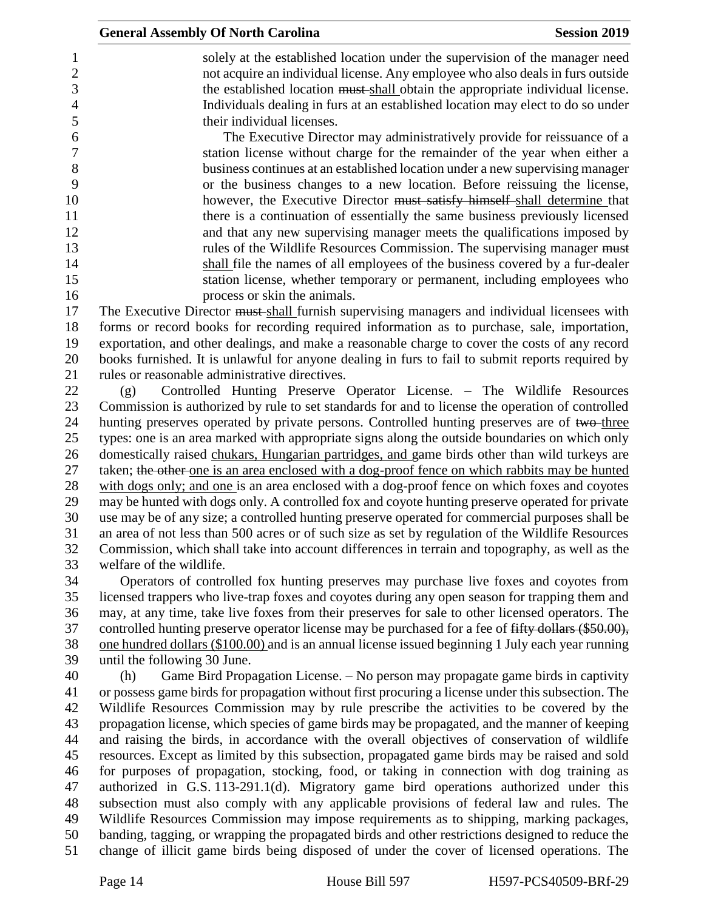| $\mathbf{1}$     | solely at the established location under the supervision of the manager need                        |
|------------------|-----------------------------------------------------------------------------------------------------|
| $\sqrt{2}$       | not acquire an individual license. Any employee who also deals in furs outside                      |
| 3                | the established location must shall obtain the appropriate individual license.                      |
| $\overline{4}$   | Individuals dealing in furs at an established location may elect to do so under                     |
| 5                | their individual licenses.                                                                          |
| $\boldsymbol{6}$ | The Executive Director may administratively provide for reissuance of a                             |
| $\boldsymbol{7}$ | station license without charge for the remainder of the year when either a                          |
| $8\,$            | business continues at an established location under a new supervising manager                       |
| 9                | or the business changes to a new location. Before reissuing the license,                            |
| 10               | however, the Executive Director must satisfy himself-shall determine that                           |
| 11               | there is a continuation of essentially the same business previously licensed                        |
| 12               | and that any new supervising manager meets the qualifications imposed by                            |
| 13               | rules of the Wildlife Resources Commission. The supervising manager must                            |
| 14               | shall file the names of all employees of the business covered by a fur-dealer                       |
| 15               | station license, whether temporary or permanent, including employees who                            |
| 16               | process or skin the animals.                                                                        |
| 17               | The Executive Director must shall furnish supervising managers and individual licensees with        |
| 18               | forms or record books for recording required information as to purchase, sale, importation,         |
| 19               |                                                                                                     |
| 20               | exportation, and other dealings, and make a reasonable charge to cover the costs of any record      |
| 21               | books furnished. It is unlawful for anyone dealing in furs to fail to submit reports required by    |
|                  | rules or reasonable administrative directives.                                                      |
| 22               | Controlled Hunting Preserve Operator License. – The Wildlife Resources                              |
| 23               | Commission is authorized by rule to set standards for and to license the operation of controlled    |
| 24               | hunting preserves operated by private persons. Controlled hunting preserves are of two-three        |
| 25               | types: one is an area marked with appropriate signs along the outside boundaries on which only      |
| 26               | domestically raised chukars, Hungarian partridges, and game birds other than wild turkeys are       |
| 27               | taken; the other one is an area enclosed with a dog-proof fence on which rabbits may be hunted      |
| 28               | with dogs only; and one is an area enclosed with a dog-proof fence on which foxes and coyotes       |
| 29               | may be hunted with dogs only. A controlled fox and coyote hunting preserve operated for private     |
| 30               | use may be of any size; a controlled hunting preserve operated for commercial purposes shall be     |
| 31               | an area of not less than 500 acres or of such size as set by regulation of the Wildlife Resources   |
| 32               | Commission, which shall take into account differences in terrain and topography, as well as the     |
| 33               | welfare of the wildlife.                                                                            |
| 34               | Operators of controlled fox hunting preserves may purchase live foxes and coyotes from              |
| 35               | licensed trappers who live-trap foxes and coyotes during any open season for trapping them and      |
| 36               | may, at any time, take live foxes from their preserves for sale to other licensed operators. The    |
| 37               | controlled hunting preserve operator license may be purchased for a fee of fifty dollars (\$50.00), |
| 38               | one hundred dollars (\$100.00) and is an annual license issued beginning 1 July each year running   |
| 39               | until the following 30 June.                                                                        |
| 40               | Game Bird Propagation License. – No person may propagate game birds in captivity<br>(h)             |
| 41               | or possess game birds for propagation without first procuring a license under this subsection. The  |
| 42               | Wildlife Resources Commission may by rule prescribe the activities to be covered by the             |
| 43               | propagation license, which species of game birds may be propagated, and the manner of keeping       |
| 44               | and raising the birds, in accordance with the overall objectives of conservation of wildlife        |
| 45               | resources. Except as limited by this subsection, propagated game birds may be raised and sold       |
| 46               | for purposes of propagation, stocking, food, or taking in connection with dog training as           |
| 47               | authorized in G.S. 113-291.1(d). Migratory game bird operations authorized under this               |
| 48               | subsection must also comply with any applicable provisions of federal law and rules. The            |
| 49               | Wildlife Resources Commission may impose requirements as to shipping, marking packages,             |
| 50               | banding, tagging, or wrapping the propagated birds and other restrictions designed to reduce the    |
| 51               | change of illicit game birds being disposed of under the cover of licensed operations. The          |

**General Assembly Of North Carolina Session 2019**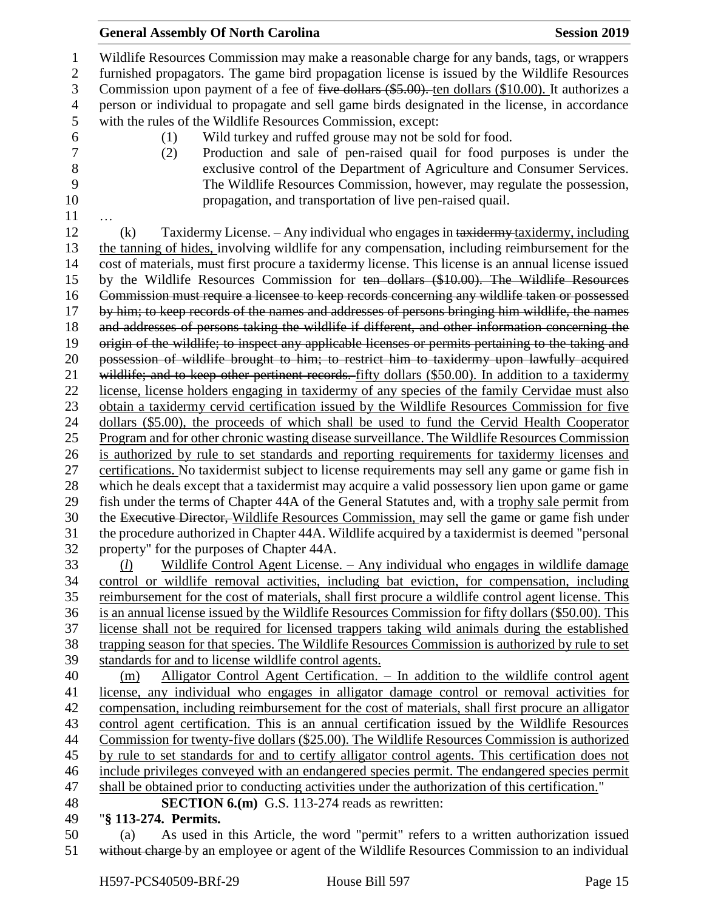Wildlife Resources Commission may make a reasonable charge for any bands, tags, or wrappers furnished propagators. The game bird propagation license is issued by the Wildlife Resources Commission upon payment of a fee of five dollars (\$5.00). ten dollars (\$10.00). It authorizes a person or individual to propagate and sell game birds designated in the license, in accordance with the rules of the Wildlife Resources Commission, except: (1) Wild turkey and ruffed grouse may not be sold for food. (2) Production and sale of pen-raised quail for food purposes is under the 8 exclusive control of the Department of Agriculture and Consumer Services.<br>9 The Wildlife Resources Commission, however, may regulate the possession. The Wildlife Resources Commission, however, may regulate the possession, propagation, and transportation of live pen-raised quail. … (k) Taxidermy License. – Any individual who engages in taxidermy taxidermy, including the tanning of hides, involving wildlife for any compensation, including reimbursement for the cost of materials, must first procure a taxidermy license. This license is an annual license issued by the Wildlife Resources Commission for ten dollars (\$10.00). The Wildlife Resources Commission must require a licensee to keep records concerning any wildlife taken or possessed by him; to keep records of the names and addresses of persons bringing him wildlife, the names and addresses of persons taking the wildlife if different, and other information concerning the origin of the wildlife; to inspect any applicable licenses or permits pertaining to the taking and possession of wildlife brought to him; to restrict him to taxidermy upon lawfully acquired 21 wildlife; and to keep other pertinent records. fifty dollars (\$50.00). In addition to a taxidermy license, license holders engaging in taxidermy of any species of the family Cervidae must also obtain a taxidermy cervid certification issued by the Wildlife Resources Commission for five dollars (\$5.00), the proceeds of which shall be used to fund the Cervid Health Cooperator Program and for other chronic wasting disease surveillance. The Wildlife Resources Commission is authorized by rule to set standards and reporting requirements for taxidermy licenses and certifications. No taxidermist subject to license requirements may sell any game or game fish in which he deals except that a taxidermist may acquire a valid possessory lien upon game or game fish under the terms of Chapter 44A of the General Statutes and, with a trophy sale permit from 30 the Executive Director, Wildlife Resources Commission, may sell the game or game fish under the procedure authorized in Chapter 44A. Wildlife acquired by a taxidermist is deemed "personal property" for the purposes of Chapter 44A. (*l*) Wildlife Control Agent License. – Any individual who engages in wildlife damage control or wildlife removal activities, including bat eviction, for compensation, including reimbursement for the cost of materials, shall first procure a wildlife control agent license. This is an annual license issued by the Wildlife Resources Commission for fifty dollars (\$50.00). This license shall not be required for licensed trappers taking wild animals during the established trapping season for that species. The Wildlife Resources Commission is authorized by rule to set standards for and to license wildlife control agents. (m) Alligator Control Agent Certification. – In addition to the wildlife control agent license, any individual who engages in alligator damage control or removal activities for compensation, including reimbursement for the cost of materials, shall first procure an alligator control agent certification. This is an annual certification issued by the Wildlife Resources Commission for twenty-five dollars (\$25.00). The Wildlife Resources Commission is authorized by rule to set standards for and to certify alligator control agents. This certification does not include privileges conveyed with an endangered species permit. The endangered species permit shall be obtained prior to conducting activities under the authorization of this certification." **SECTION 6.(m)** G.S. 113-274 reads as rewritten: "**§ 113-274. Permits.** (a) As used in this Article, the word "permit" refers to a written authorization issued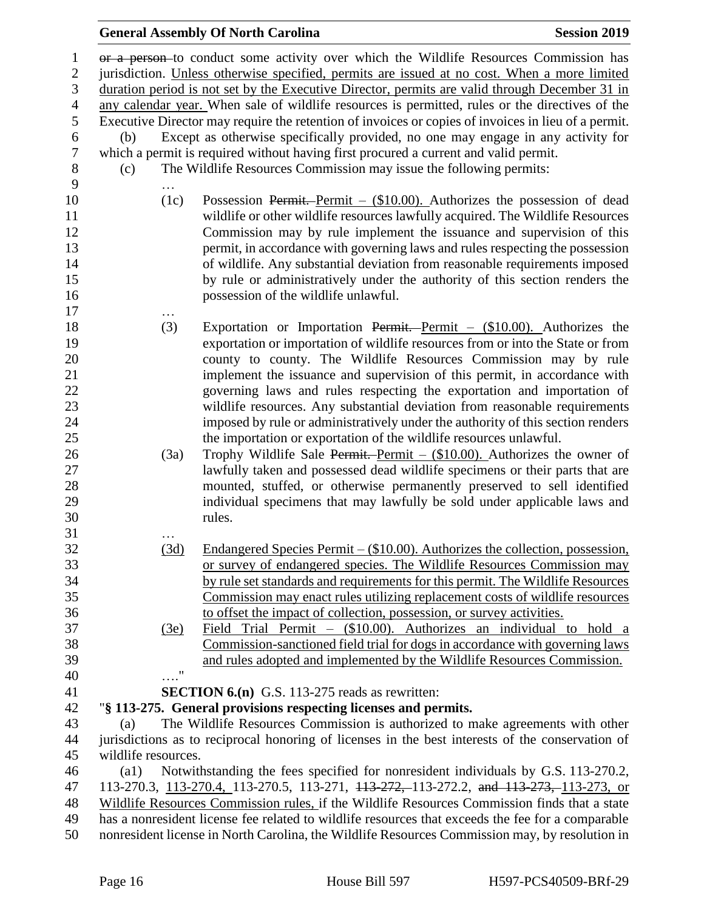or a person to conduct some activity over which the Wildlife Resources Commission has jurisdiction. Unless otherwise specified, permits are issued at no cost. When a more limited duration period is not set by the Executive Director, permits are valid through December 31 in any calendar year. When sale of wildlife resources is permitted, rules or the directives of the Executive Director may require the retention of invoices or copies of invoices in lieu of a permit. (b) Except as otherwise specifically provided, no one may engage in any activity for which a permit is required without having first procured a current and valid permit. (c) The Wildlife Resources Commission may issue the following permits: … (1c) Possession Permit. Permit – (\$10.00). Authorizes the possession of dead wildlife or other wildlife resources lawfully acquired. The Wildlife Resources Commission may by rule implement the issuance and supervision of this permit, in accordance with governing laws and rules respecting the possession of wildlife. Any substantial deviation from reasonable requirements imposed by rule or administratively under the authority of this section renders the possession of the wildlife unlawful. … (3) Exportation or Importation Permit. Permit – (\$10.00). Authorizes the exportation or importation of wildlife resources from or into the State or from county to county. The Wildlife Resources Commission may by rule implement the issuance and supervision of this permit, in accordance with governing laws and rules respecting the exportation and importation of wildlife resources. Any substantial deviation from reasonable requirements imposed by rule or administratively under the authority of this section renders the importation or exportation of the wildlife resources unlawful. 26 (3a) Trophy Wildlife Sale Permit. Permit –  $(\$10.00)$ . Authorizes the owner of lawfully taken and possessed dead wildlife specimens or their parts that are mounted, stuffed, or otherwise permanently preserved to sell identified individual specimens that may lawfully be sold under applicable laws and rules. … (3d) Endangered Species Permit – (\$10.00). Authorizes the collection, possession, or survey of endangered species. The Wildlife Resources Commission may by rule set standards and requirements for this permit. The Wildlife Resources Commission may enact rules utilizing replacement costs of wildlife resources to offset the impact of collection, possession, or survey activities. (3e) Field Trial Permit – (\$10.00). Authorizes an individual to hold a Commission-sanctioned field trial for dogs in accordance with governing laws and rules adopted and implemented by the Wildlife Resources Commission. …." **SECTION 6.(n)** G.S. 113-275 reads as rewritten: "**§ 113-275. General provisions respecting licenses and permits.** (a) The Wildlife Resources Commission is authorized to make agreements with other jurisdictions as to reciprocal honoring of licenses in the best interests of the conservation of wildlife resources. (a1) Notwithstanding the fees specified for nonresident individuals by G.S. 113-270.2, 113-270.3, 113-270.4, 113-270.5, 113-271, 113-272, 113-272.2, and 113-273, 113-273, or Wildlife Resources Commission rules, if the Wildlife Resources Commission finds that a state has a nonresident license fee related to wildlife resources that exceeds the fee for a comparable nonresident license in North Carolina, the Wildlife Resources Commission may, by resolution in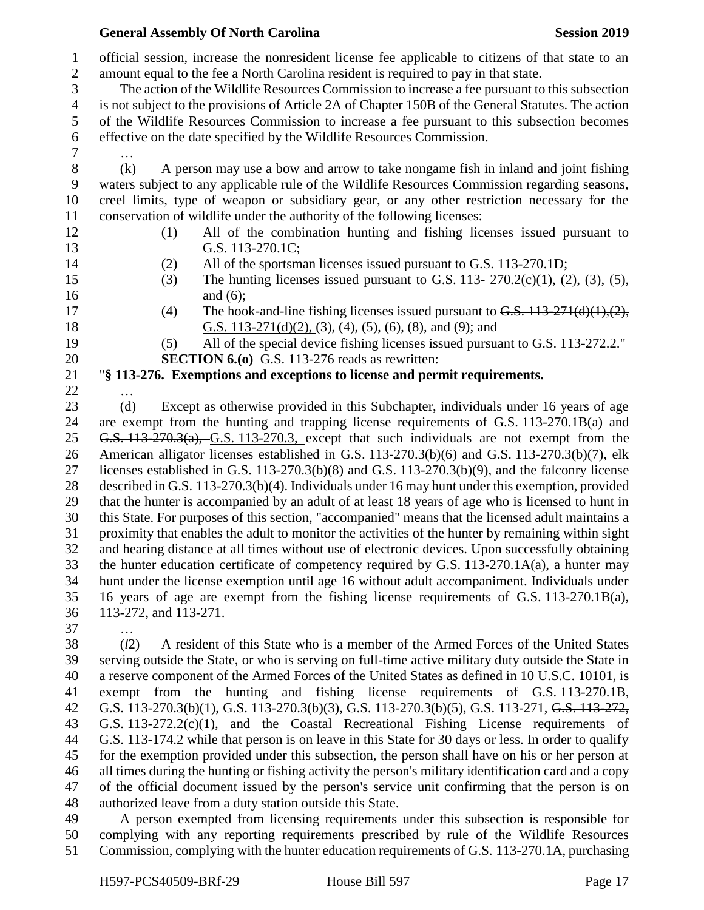|                              | <b>General Assembly Of North Carolina</b><br><b>Session 2019</b>                                                                                                                                   |  |  |  |
|------------------------------|----------------------------------------------------------------------------------------------------------------------------------------------------------------------------------------------------|--|--|--|
| $\mathbf{1}$<br>$\mathbf{2}$ | official session, increase the nonresident license fee applicable to citizens of that state to an<br>amount equal to the fee a North Carolina resident is required to pay in that state.           |  |  |  |
| 3                            | The action of the Wildlife Resources Commission to increase a fee pursuant to this subsection                                                                                                      |  |  |  |
| $\overline{4}$               | is not subject to the provisions of Article 2A of Chapter 150B of the General Statutes. The action                                                                                                 |  |  |  |
| 5                            | of the Wildlife Resources Commission to increase a fee pursuant to this subsection becomes                                                                                                         |  |  |  |
| 6                            | effective on the date specified by the Wildlife Resources Commission.                                                                                                                              |  |  |  |
| 7                            |                                                                                                                                                                                                    |  |  |  |
| 8                            | (k)<br>A person may use a bow and arrow to take nongame fish in inland and joint fishing                                                                                                           |  |  |  |
| 9                            | waters subject to any applicable rule of the Wildlife Resources Commission regarding seasons,                                                                                                      |  |  |  |
| 10                           | creel limits, type of weapon or subsidiary gear, or any other restriction necessary for the                                                                                                        |  |  |  |
| 11                           | conservation of wildlife under the authority of the following licenses:                                                                                                                            |  |  |  |
| 12<br>13                     | All of the combination hunting and fishing licenses issued pursuant to<br>(1)<br>G.S. 113-270.1C;                                                                                                  |  |  |  |
| 14                           | All of the sportsman licenses issued pursuant to G.S. 113-270.1D;<br>(2)                                                                                                                           |  |  |  |
| 15                           | The hunting licenses issued pursuant to G.S. 113- $270.2(c)(1)$ , (2), (3), (5),<br>(3)                                                                                                            |  |  |  |
| 16                           | and $(6)$ ;                                                                                                                                                                                        |  |  |  |
| 17                           | The hook-and-line fishing licenses issued pursuant to $G.S. 113-271(d)(1),(2),$<br>(4)                                                                                                             |  |  |  |
| 18                           | G.S. $113-271(d)(2)$ , (3), (4), (5), (6), (8), and (9); and                                                                                                                                       |  |  |  |
| 19                           | All of the special device fishing licenses issued pursuant to G.S. 113-272.2."<br>(5)                                                                                                              |  |  |  |
| 20                           | <b>SECTION 6.(0)</b> G.S. 113-276 reads as rewritten:                                                                                                                                              |  |  |  |
| 21                           | "§ 113-276. Exemptions and exceptions to license and permit requirements.                                                                                                                          |  |  |  |
| 22                           |                                                                                                                                                                                                    |  |  |  |
| 23                           | (d)<br>Except as otherwise provided in this Subchapter, individuals under 16 years of age                                                                                                          |  |  |  |
| 24                           | are exempt from the hunting and trapping license requirements of G.S. 113-270.1B(a) and                                                                                                            |  |  |  |
| 25                           | $G.S. 113-270.3(a), G.S. 113-270.3$ , except that such individuals are not exempt from the                                                                                                         |  |  |  |
| 26                           | American alligator licenses established in G.S. 113-270.3(b)(6) and G.S. 113-270.3(b)(7), elk                                                                                                      |  |  |  |
| 27                           | licenses established in G.S. $113-270.3(b)(8)$ and G.S. $113-270.3(b)(9)$ , and the falconry license                                                                                               |  |  |  |
| 28                           | described in G.S. 113-270.3(b)(4). Individuals under 16 may hunt under this exemption, provided                                                                                                    |  |  |  |
| 29                           | that the hunter is accompanied by an adult of at least 18 years of age who is licensed to hunt in                                                                                                  |  |  |  |
| 30                           | this State. For purposes of this section, "accompanied" means that the licensed adult maintains a                                                                                                  |  |  |  |
| 31<br>32                     | proximity that enables the adult to monitor the activities of the hunter by remaining within sight                                                                                                 |  |  |  |
| 33                           | and hearing distance at all times without use of electronic devices. Upon successfully obtaining<br>the hunter education certificate of competency required by G.S. $113-270.1A(a)$ , a hunter may |  |  |  |
| 34                           |                                                                                                                                                                                                    |  |  |  |
| 35                           | hunt under the license exemption until age 16 without adult accompaniment. Individuals under<br>16 years of age are exempt from the fishing license requirements of G.S. 113-270.1B(a),            |  |  |  |
| 36                           | 113-272, and 113-271.                                                                                                                                                                              |  |  |  |
| 37                           |                                                                                                                                                                                                    |  |  |  |
| 38                           | (l2)<br>A resident of this State who is a member of the Armed Forces of the United States                                                                                                          |  |  |  |
| 39                           | serving outside the State, or who is serving on full-time active military duty outside the State in                                                                                                |  |  |  |
| 40                           | a reserve component of the Armed Forces of the United States as defined in 10 U.S.C. 10101, is                                                                                                     |  |  |  |

 exempt from the hunting and fishing license requirements of G.S. 113-270.1B, G.S. 113-270.3(b)(1), G.S. 113-270.3(b)(3), G.S. 113-270.3(b)(5), G.S. 113-271, G.S. 113-272, G.S. 113-272.2(c)(1), and the Coastal Recreational Fishing License requirements of G.S. 113-174.2 while that person is on leave in this State for 30 days or less. In order to qualify for the exemption provided under this subsection, the person shall have on his or her person at all times during the hunting or fishing activity the person's military identification card and a copy of the official document issued by the person's service unit confirming that the person is on authorized leave from a duty station outside this State.

 A person exempted from licensing requirements under this subsection is responsible for complying with any reporting requirements prescribed by rule of the Wildlife Resources Commission, complying with the hunter education requirements of G.S. 113-270.1A, purchasing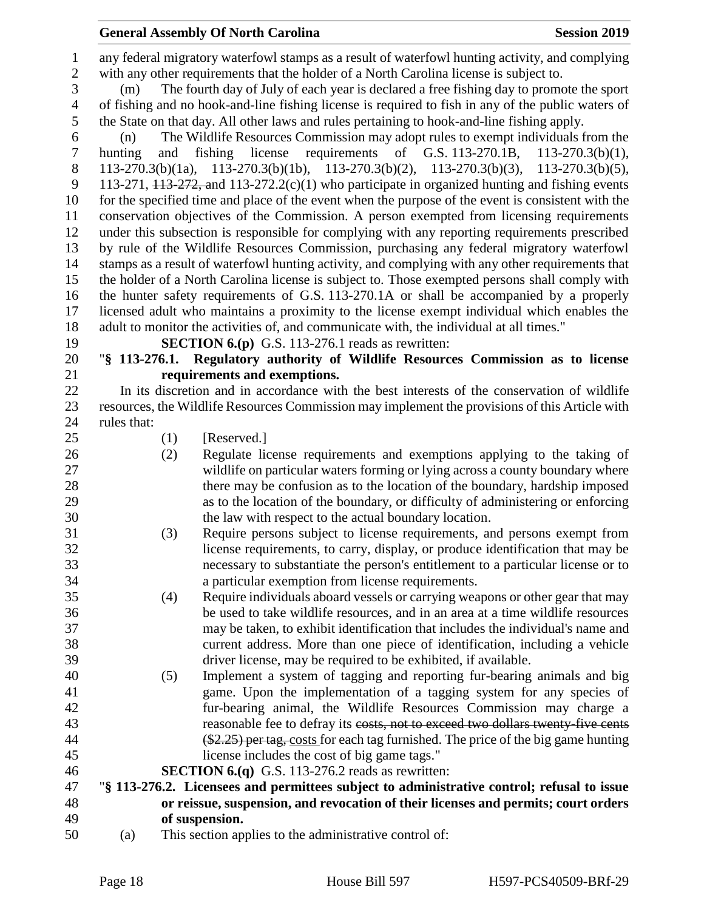any federal migratory waterfowl stamps as a result of waterfowl hunting activity, and complying with any other requirements that the holder of a North Carolina license is subject to. (m) The fourth day of July of each year is declared a free fishing day to promote the sport of fishing and no hook-and-line fishing license is required to fish in any of the public waters of the State on that day. All other laws and rules pertaining to hook-and-line fishing apply. (n) The Wildlife Resources Commission may adopt rules to exempt individuals from the hunting and fishing license requirements of G.S. 113-270.1B, 113-270.3(b)(1), 113-270.3(b)(1a), 113-270.3(b)(1b), 113-270.3(b)(2), 113-270.3(b)(3), 113-270.3(b)(5), 9 113-271,  $\overline{113-272}$ , and  $\overline{113-272.2(c)(1)}$  who participate in organized hunting and fishing events for the specified time and place of the event when the purpose of the event is consistent with the conservation objectives of the Commission. A person exempted from licensing requirements under this subsection is responsible for complying with any reporting requirements prescribed by rule of the Wildlife Resources Commission, purchasing any federal migratory waterfowl stamps as a result of waterfowl hunting activity, and complying with any other requirements that the holder of a North Carolina license is subject to. Those exempted persons shall comply with the hunter safety requirements of G.S. 113-270.1A or shall be accompanied by a properly licensed adult who maintains a proximity to the license exempt individual which enables the adult to monitor the activities of, and communicate with, the individual at all times." **SECTION 6.(p)** G.S. 113-276.1 reads as rewritten: "**§ 113-276.1. Regulatory authority of Wildlife Resources Commission as to license requirements and exemptions.** In its discretion and in accordance with the best interests of the conservation of wildlife resources, the Wildlife Resources Commission may implement the provisions of this Article with rules that: (1) [Reserved.] (2) Regulate license requirements and exemptions applying to the taking of wildlife on particular waters forming or lying across a county boundary where there may be confusion as to the location of the boundary, hardship imposed as to the location of the boundary, or difficulty of administering or enforcing the law with respect to the actual boundary location. (3) Require persons subject to license requirements, and persons exempt from license requirements, to carry, display, or produce identification that may be necessary to substantiate the person's entitlement to a particular license or to a particular exemption from license requirements. (4) Require individuals aboard vessels or carrying weapons or other gear that may be used to take wildlife resources, and in an area at a time wildlife resources may be taken, to exhibit identification that includes the individual's name and current address. More than one piece of identification, including a vehicle driver license, may be required to be exhibited, if available. (5) Implement a system of tagging and reporting fur-bearing animals and big game. Upon the implementation of a tagging system for any species of fur-bearing animal, the Wildlife Resources Commission may charge a **reasonable fee to defray its costs, not to exceed two dollars twenty five cents**  (\$2.25) per tag, costs for each tag furnished. The price of the big game hunting license includes the cost of big game tags." **SECTION 6.(q)** G.S. 113-276.2 reads as rewritten: "**§ 113-276.2. Licensees and permittees subject to administrative control; refusal to issue or reissue, suspension, and revocation of their licenses and permits; court orders of suspension.**

(a) This section applies to the administrative control of: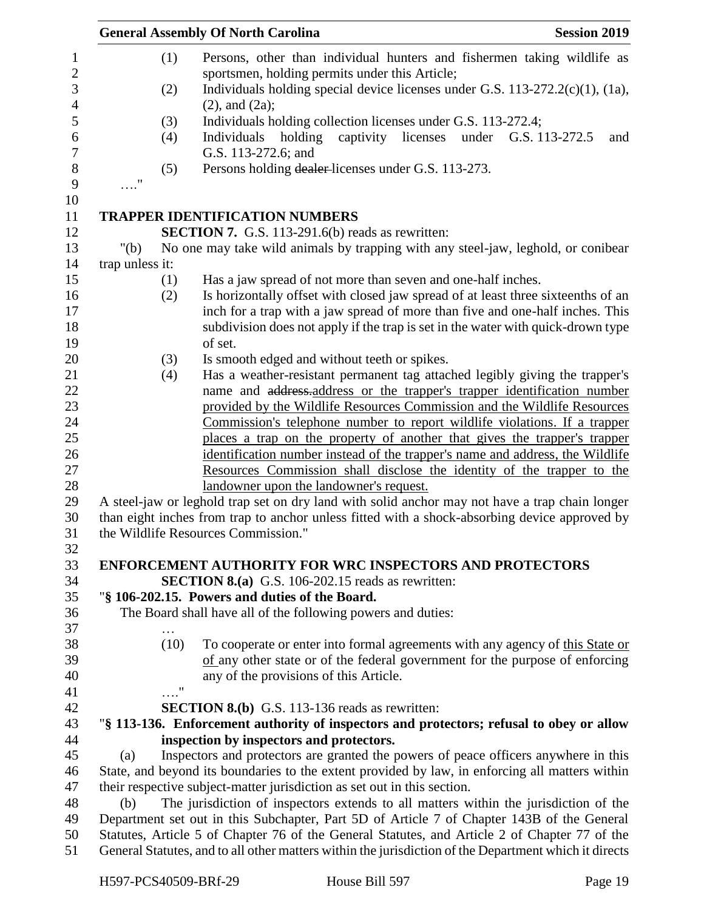|                                                                                                                                                                                           | <b>Session 2019</b><br><b>General Assembly Of North Carolina</b>                                                                                      |
|-------------------------------------------------------------------------------------------------------------------------------------------------------------------------------------------|-------------------------------------------------------------------------------------------------------------------------------------------------------|
| (1)                                                                                                                                                                                       | Persons, other than individual hunters and fishermen taking wildlife as                                                                               |
|                                                                                                                                                                                           | sportsmen, holding permits under this Article;                                                                                                        |
| (2)                                                                                                                                                                                       | Individuals holding special device licenses under G.S. $113-272.2(c)(1)$ , $(1a)$ ,                                                                   |
|                                                                                                                                                                                           | $(2)$ , and $(2a)$ ;                                                                                                                                  |
| (3)                                                                                                                                                                                       | Individuals holding collection licenses under G.S. 113-272.4;                                                                                         |
| (4)                                                                                                                                                                                       | licenses<br>Individuals<br>holding<br>captivity<br>under<br>G.S. 113-272.5<br>and                                                                     |
|                                                                                                                                                                                           | G.S. 113-272.6; and                                                                                                                                   |
| (5)                                                                                                                                                                                       | Persons holding dealer-licenses under G.S. 113-273.                                                                                                   |
| $\ldots$ "                                                                                                                                                                                |                                                                                                                                                       |
|                                                                                                                                                                                           | <b>TRAPPER IDENTIFICATION NUMBERS</b>                                                                                                                 |
|                                                                                                                                                                                           | <b>SECTION 7.</b> G.S. 113-291.6(b) reads as rewritten:                                                                                               |
| " $(b)$                                                                                                                                                                                   | No one may take wild animals by trapping with any steel-jaw, leghold, or conibear                                                                     |
| trap unless it:                                                                                                                                                                           |                                                                                                                                                       |
| (1)                                                                                                                                                                                       | Has a jaw spread of not more than seven and one-half inches.                                                                                          |
| (2)                                                                                                                                                                                       | Is horizontally offset with closed jaw spread of at least three sixteenths of an                                                                      |
|                                                                                                                                                                                           | inch for a trap with a jaw spread of more than five and one-half inches. This                                                                         |
|                                                                                                                                                                                           | subdivision does not apply if the trap is set in the water with quick-drown type                                                                      |
|                                                                                                                                                                                           | of set.                                                                                                                                               |
| (3)                                                                                                                                                                                       | Is smooth edged and without teeth or spikes.                                                                                                          |
| (4)                                                                                                                                                                                       | Has a weather-resistant permanent tag attached legibly giving the trapper's                                                                           |
|                                                                                                                                                                                           | name and address-address or the trapper's trapper identification number                                                                               |
|                                                                                                                                                                                           | provided by the Wildlife Resources Commission and the Wildlife Resources<br>Commission's telephone number to report wildlife violations. If a trapper |
|                                                                                                                                                                                           | places a trap on the property of another that gives the trapper's trapper                                                                             |
|                                                                                                                                                                                           | identification number instead of the trapper's name and address, the Wildlife                                                                         |
|                                                                                                                                                                                           | Resources Commission shall disclose the identity of the trapper to the                                                                                |
|                                                                                                                                                                                           | landowner upon the landowner's request.                                                                                                               |
|                                                                                                                                                                                           | A steel-jaw or leghold trap set on dry land with solid anchor may not have a trap chain longer                                                        |
|                                                                                                                                                                                           | than eight inches from trap to anchor unless fitted with a shock-absorbing device approved by                                                         |
|                                                                                                                                                                                           | the Wildlife Resources Commission."                                                                                                                   |
|                                                                                                                                                                                           |                                                                                                                                                       |
|                                                                                                                                                                                           | <b>ENFORCEMENT AUTHORITY FOR WRC INSPECTORS AND PROTECTORS</b><br><b>SECTION 8.(a)</b> G.S. 106-202.15 reads as rewritten:                            |
|                                                                                                                                                                                           | "§ 106-202.15. Powers and duties of the Board.                                                                                                        |
|                                                                                                                                                                                           | The Board shall have all of the following powers and duties:                                                                                          |
|                                                                                                                                                                                           |                                                                                                                                                       |
| (10)                                                                                                                                                                                      | To cooperate or enter into formal agreements with any agency of this State or                                                                         |
|                                                                                                                                                                                           | of any other state or of the federal government for the purpose of enforcing                                                                          |
|                                                                                                                                                                                           | any of the provisions of this Article.                                                                                                                |
| $\ldots$ "                                                                                                                                                                                |                                                                                                                                                       |
|                                                                                                                                                                                           | <b>SECTION 8.(b)</b> G.S. 113-136 reads as rewritten:                                                                                                 |
|                                                                                                                                                                                           | "§ 113-136. Enforcement authority of inspectors and protectors; refusal to obey or allow                                                              |
|                                                                                                                                                                                           | inspection by inspectors and protectors.                                                                                                              |
| Inspectors and protectors are granted the powers of peace officers anywhere in this<br>(a)                                                                                                |                                                                                                                                                       |
| State, and beyond its boundaries to the extent provided by law, in enforcing all matters within                                                                                           |                                                                                                                                                       |
|                                                                                                                                                                                           | their respective subject-matter jurisdiction as set out in this section.                                                                              |
| The jurisdiction of inspectors extends to all matters within the jurisdiction of the<br>(b)<br>Department set out in this Subchapter, Part 5D of Article 7 of Chapter 143B of the General |                                                                                                                                                       |
|                                                                                                                                                                                           | Statutes, Article 5 of Chapter 76 of the General Statutes, and Article 2 of Chapter 77 of the                                                         |
|                                                                                                                                                                                           |                                                                                                                                                       |
|                                                                                                                                                                                           | General Statutes, and to all other matters within the jurisdiction of the Department which it directs                                                 |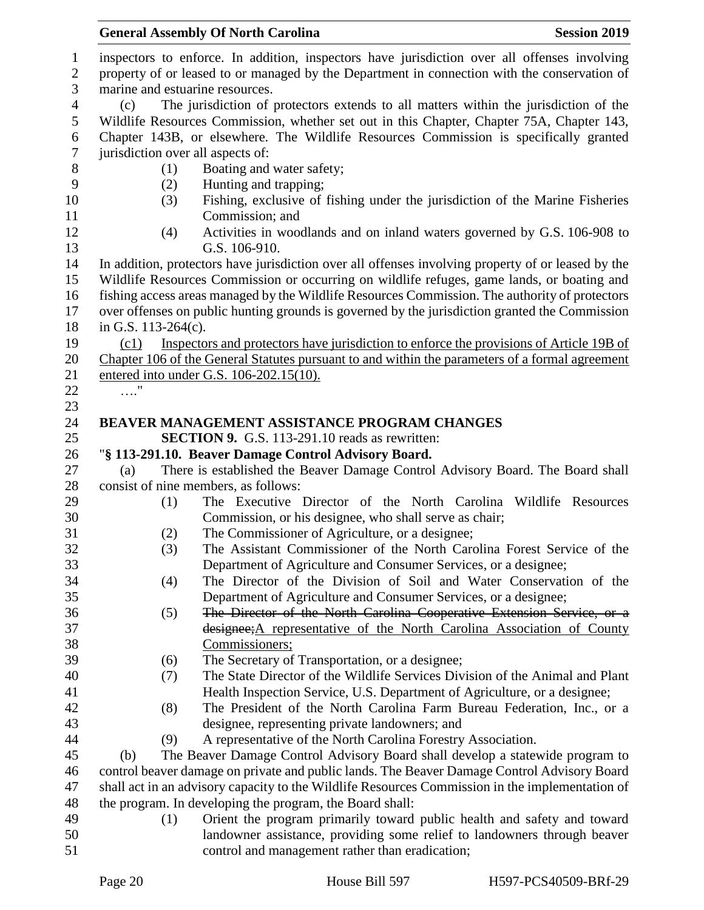|                                                                                                 | <b>General Assembly Of North Carolina</b><br><b>Session 2019</b>                                                                                                                           |  |  |  |  |  |
|-------------------------------------------------------------------------------------------------|--------------------------------------------------------------------------------------------------------------------------------------------------------------------------------------------|--|--|--|--|--|
|                                                                                                 | inspectors to enforce. In addition, inspectors have jurisdiction over all offenses involving                                                                                               |  |  |  |  |  |
| property of or leased to or managed by the Department in connection with the conservation of    |                                                                                                                                                                                            |  |  |  |  |  |
|                                                                                                 | marine and estuarine resources.                                                                                                                                                            |  |  |  |  |  |
| (c)                                                                                             | The jurisdiction of protectors extends to all matters within the jurisdiction of the                                                                                                       |  |  |  |  |  |
|                                                                                                 | Wildlife Resources Commission, whether set out in this Chapter, Chapter 75A, Chapter 143,                                                                                                  |  |  |  |  |  |
|                                                                                                 | Chapter 143B, or elsewhere. The Wildlife Resources Commission is specifically granted                                                                                                      |  |  |  |  |  |
|                                                                                                 |                                                                                                                                                                                            |  |  |  |  |  |
| (1)                                                                                             | Boating and water safety;                                                                                                                                                                  |  |  |  |  |  |
| (2)                                                                                             | Hunting and trapping;                                                                                                                                                                      |  |  |  |  |  |
| (3)                                                                                             | Fishing, exclusive of fishing under the jurisdiction of the Marine Fisheries                                                                                                               |  |  |  |  |  |
|                                                                                                 | Commission; and                                                                                                                                                                            |  |  |  |  |  |
|                                                                                                 | Activities in woodlands and on inland waters governed by G.S. 106-908 to                                                                                                                   |  |  |  |  |  |
|                                                                                                 | G.S. 106-910.                                                                                                                                                                              |  |  |  |  |  |
|                                                                                                 | In addition, protectors have jurisdiction over all offenses involving property of or leased by the                                                                                         |  |  |  |  |  |
|                                                                                                 | Wildlife Resources Commission or occurring on wildlife refuges, game lands, or boating and                                                                                                 |  |  |  |  |  |
|                                                                                                 | fishing access areas managed by the Wildlife Resources Commission. The authority of protectors                                                                                             |  |  |  |  |  |
|                                                                                                 | over offenses on public hunting grounds is governed by the jurisdiction granted the Commission                                                                                             |  |  |  |  |  |
|                                                                                                 |                                                                                                                                                                                            |  |  |  |  |  |
|                                                                                                 | Inspectors and protectors have jurisdiction to enforce the provisions of Article 19B of<br>Chapter 106 of the General Statutes pursuant to and within the parameters of a formal agreement |  |  |  |  |  |
|                                                                                                 |                                                                                                                                                                                            |  |  |  |  |  |
|                                                                                                 |                                                                                                                                                                                            |  |  |  |  |  |
|                                                                                                 |                                                                                                                                                                                            |  |  |  |  |  |
|                                                                                                 | <b>BEAVER MANAGEMENT ASSISTANCE PROGRAM CHANGES</b>                                                                                                                                        |  |  |  |  |  |
|                                                                                                 | <b>SECTION 9.</b> G.S. 113-291.10 reads as rewritten:                                                                                                                                      |  |  |  |  |  |
|                                                                                                 | "§ 113-291.10. Beaver Damage Control Advisory Board.                                                                                                                                       |  |  |  |  |  |
| (a)                                                                                             | There is established the Beaver Damage Control Advisory Board. The Board shall                                                                                                             |  |  |  |  |  |
|                                                                                                 | consist of nine members, as follows:                                                                                                                                                       |  |  |  |  |  |
| (1)                                                                                             | The Executive Director of the North Carolina Wildlife Resources                                                                                                                            |  |  |  |  |  |
|                                                                                                 | Commission, or his designee, who shall serve as chair;                                                                                                                                     |  |  |  |  |  |
| (2)                                                                                             | The Commissioner of Agriculture, or a designee;                                                                                                                                            |  |  |  |  |  |
| (3)                                                                                             | The Assistant Commissioner of the North Carolina Forest Service of the                                                                                                                     |  |  |  |  |  |
|                                                                                                 | Department of Agriculture and Consumer Services, or a designee;                                                                                                                            |  |  |  |  |  |
|                                                                                                 | The Director of the Division of Soil and Water Conservation of the                                                                                                                         |  |  |  |  |  |
|                                                                                                 | Department of Agriculture and Consumer Services, or a designee;                                                                                                                            |  |  |  |  |  |
|                                                                                                 | The Director of the North Carolina Cooperative Extension Service, or a                                                                                                                     |  |  |  |  |  |
|                                                                                                 | designee; A representative of the North Carolina Association of County                                                                                                                     |  |  |  |  |  |
|                                                                                                 | Commissioners;                                                                                                                                                                             |  |  |  |  |  |
|                                                                                                 | The Secretary of Transportation, or a designee;                                                                                                                                            |  |  |  |  |  |
|                                                                                                 | The State Director of the Wildlife Services Division of the Animal and Plant                                                                                                               |  |  |  |  |  |
|                                                                                                 | Health Inspection Service, U.S. Department of Agriculture, or a designee;<br>The President of the North Carolina Farm Bureau Federation, Inc., or a                                        |  |  |  |  |  |
|                                                                                                 | designee, representing private landowners; and                                                                                                                                             |  |  |  |  |  |
|                                                                                                 | A representative of the North Carolina Forestry Association.                                                                                                                               |  |  |  |  |  |
|                                                                                                 | The Beaver Damage Control Advisory Board shall develop a statewide program to                                                                                                              |  |  |  |  |  |
|                                                                                                 | control beaver damage on private and public lands. The Beaver Damage Control Advisory Board                                                                                                |  |  |  |  |  |
| shall act in an advisory capacity to the Wildlife Resources Commission in the implementation of |                                                                                                                                                                                            |  |  |  |  |  |
| the program. In developing the program, the Board shall:                                        |                                                                                                                                                                                            |  |  |  |  |  |
|                                                                                                 | Orient the program primarily toward public health and safety and toward                                                                                                                    |  |  |  |  |  |
|                                                                                                 | landowner assistance, providing some relief to landowners through beaver                                                                                                                   |  |  |  |  |  |
|                                                                                                 | control and management rather than eradication;                                                                                                                                            |  |  |  |  |  |
|                                                                                                 | jurisdiction over all aspects of:<br>(4)<br>in G.S. $113-264(c)$ .<br>(c1)<br>entered into under G.S. 106-202.15(10).<br>. '<br>(4)<br>(5)<br>(6)<br>(7)<br>(8)<br>(9)<br>(b)<br>(1)       |  |  |  |  |  |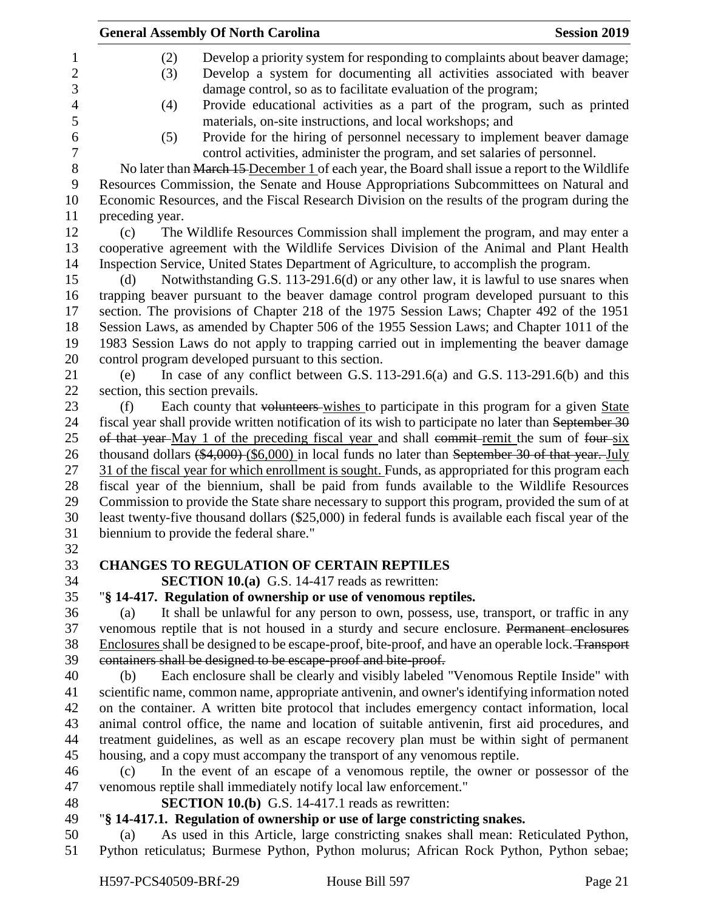|                | <b>General Assembly Of North Carolina</b><br><b>Session 2019</b>                                                                                                                                  |  |  |  |
|----------------|---------------------------------------------------------------------------------------------------------------------------------------------------------------------------------------------------|--|--|--|
| 1              | (2)<br>Develop a priority system for responding to complaints about beaver damage;                                                                                                                |  |  |  |
| $\overline{c}$ | Develop a system for documenting all activities associated with beaver<br>(3)                                                                                                                     |  |  |  |
| 3              | damage control, so as to facilitate evaluation of the program;                                                                                                                                    |  |  |  |
| 4              | Provide educational activities as a part of the program, such as printed<br>(4)                                                                                                                   |  |  |  |
| 5              | materials, on-site instructions, and local workshops; and                                                                                                                                         |  |  |  |
| 6              | Provide for the hiring of personnel necessary to implement beaver damage<br>(5)                                                                                                                   |  |  |  |
| 7              | control activities, administer the program, and set salaries of personnel.                                                                                                                        |  |  |  |
| $8\,$          | No later than March 15 December 1 of each year, the Board shall issue a report to the Wildlife                                                                                                    |  |  |  |
| 9              | Resources Commission, the Senate and House Appropriations Subcommittees on Natural and                                                                                                            |  |  |  |
| 10             | Economic Resources, and the Fiscal Research Division on the results of the program during the                                                                                                     |  |  |  |
| 11             | preceding year.                                                                                                                                                                                   |  |  |  |
| 12             | The Wildlife Resources Commission shall implement the program, and may enter a<br>(c)                                                                                                             |  |  |  |
| 13             | cooperative agreement with the Wildlife Services Division of the Animal and Plant Health                                                                                                          |  |  |  |
| 14             | Inspection Service, United States Department of Agriculture, to accomplish the program.                                                                                                           |  |  |  |
| 15             | Notwithstanding G.S. 113-291.6(d) or any other law, it is lawful to use snares when<br>(d)                                                                                                        |  |  |  |
| 16             | trapping beaver pursuant to the beaver damage control program developed pursuant to this                                                                                                          |  |  |  |
| 17             | section. The provisions of Chapter 218 of the 1975 Session Laws; Chapter 492 of the 1951                                                                                                          |  |  |  |
| 18             | Session Laws, as amended by Chapter 506 of the 1955 Session Laws; and Chapter 1011 of the                                                                                                         |  |  |  |
| 19             | 1983 Session Laws do not apply to trapping carried out in implementing the beaver damage                                                                                                          |  |  |  |
| 20             | control program developed pursuant to this section.                                                                                                                                               |  |  |  |
| 21             | In case of any conflict between G.S. 113-291.6(a) and G.S. 113-291.6(b) and this<br>(e)                                                                                                           |  |  |  |
| 22             | section, this section prevails.                                                                                                                                                                   |  |  |  |
| 23             | Each county that volunteers-wishes to participate in this program for a given State<br>(f)                                                                                                        |  |  |  |
| 24<br>25       | fiscal year shall provide written notification of its wish to participate no later than September 30                                                                                              |  |  |  |
| 26             | of that year-May 1 of the preceding fiscal year and shall commit-remit the sum of four-six<br>thousand dollars $(*4,000)$ $(*6,000)$ in local funds no later than September 30 of that year. July |  |  |  |
| 27             | 31 of the fiscal year for which enrollment is sought. Funds, as appropriated for this program each                                                                                                |  |  |  |
| 28             | fiscal year of the biennium, shall be paid from funds available to the Wildlife Resources                                                                                                         |  |  |  |
| 29             | Commission to provide the State share necessary to support this program, provided the sum of at                                                                                                   |  |  |  |
| 30             | least twenty-five thousand dollars (\$25,000) in federal funds is available each fiscal year of the                                                                                               |  |  |  |
| 31             | biennium to provide the federal share."                                                                                                                                                           |  |  |  |
| 32             |                                                                                                                                                                                                   |  |  |  |
| 33             | <b>CHANGES TO REGULATION OF CERTAIN REPTILES</b>                                                                                                                                                  |  |  |  |
| 34             | <b>SECTION 10.(a)</b> G.S. 14-417 reads as rewritten:                                                                                                                                             |  |  |  |
| 35             | "§ 14-417. Regulation of ownership or use of venomous reptiles.                                                                                                                                   |  |  |  |
| 36             | It shall be unlawful for any person to own, possess, use, transport, or traffic in any<br>(a)                                                                                                     |  |  |  |
| 37             | venomous reptile that is not housed in a sturdy and secure enclosure. Permanent enclosures                                                                                                        |  |  |  |
| 38             | Enclosures shall be designed to be escape-proof, bite-proof, and have an operable lock. Transport                                                                                                 |  |  |  |
| 39             | containers shall be designed to be escape-proof and bite-proof.                                                                                                                                   |  |  |  |
| 40             | Each enclosure shall be clearly and visibly labeled "Venomous Reptile Inside" with<br>(b)                                                                                                         |  |  |  |
| 41             | scientific name, common name, appropriate antivenin, and owner's identifying information noted                                                                                                    |  |  |  |
| 42             | on the container. A written bite protocol that includes emergency contact information, local                                                                                                      |  |  |  |
| 43             | animal control office, the name and location of suitable antivenin, first aid procedures, and                                                                                                     |  |  |  |
| 44             | treatment guidelines, as well as an escape recovery plan must be within sight of permanent                                                                                                        |  |  |  |
| 45             | housing, and a copy must accompany the transport of any venomous reptile.                                                                                                                         |  |  |  |
| 46             | In the event of an escape of a venomous reptile, the owner or possessor of the<br>(c)                                                                                                             |  |  |  |
| 47             | venomous reptile shall immediately notify local law enforcement."                                                                                                                                 |  |  |  |
| 48             | <b>SECTION 10.(b)</b> G.S. 14-417.1 reads as rewritten:                                                                                                                                           |  |  |  |
| 49             | "§ 14-417.1. Regulation of ownership or use of large constricting snakes.                                                                                                                         |  |  |  |
| 50             | As used in this Article, large constricting snakes shall mean: Reticulated Python,<br>(a)                                                                                                         |  |  |  |
| 51             | Python reticulatus; Burmese Python, Python molurus; African Rock Python, Python sebae;                                                                                                            |  |  |  |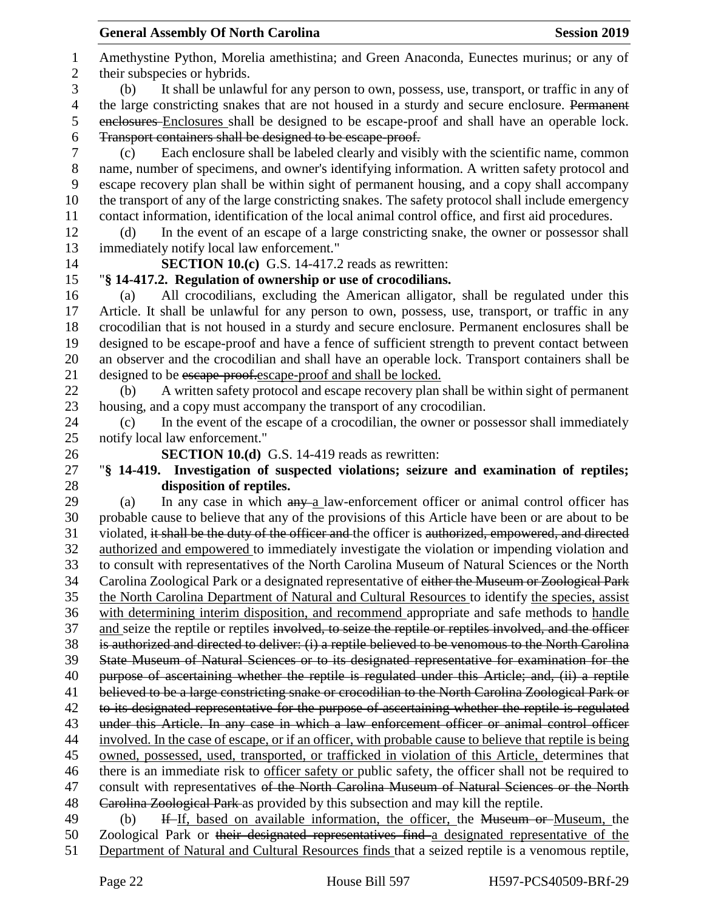Amethystine Python, Morelia amethistina; and Green Anaconda, Eunectes murinus; or any of their subspecies or hybrids. (b) It shall be unlawful for any person to own, possess, use, transport, or traffic in any of 4 the large constricting snakes that are not housed in a sturdy and secure enclosure. Permanent enclosures Enclosures shall be designed to be escape-proof and shall have an operable lock. Transport containers shall be designed to be escape-proof. (c) Each enclosure shall be labeled clearly and visibly with the scientific name, common name, number of specimens, and owner's identifying information. A written safety protocol and escape recovery plan shall be within sight of permanent housing, and a copy shall accompany the transport of any of the large constricting snakes. The safety protocol shall include emergency contact information, identification of the local animal control office, and first aid procedures. (d) In the event of an escape of a large constricting snake, the owner or possessor shall immediately notify local law enforcement." **SECTION 10.(c)** G.S. 14-417.2 reads as rewritten: "**§ 14-417.2. Regulation of ownership or use of crocodilians.** (a) All crocodilians, excluding the American alligator, shall be regulated under this Article. It shall be unlawful for any person to own, possess, use, transport, or traffic in any crocodilian that is not housed in a sturdy and secure enclosure. Permanent enclosures shall be designed to be escape-proof and have a fence of sufficient strength to prevent contact between an observer and the crocodilian and shall have an operable lock. Transport containers shall be 21 designed to be escape-proofer scape-proof and shall be locked. (b) A written safety protocol and escape recovery plan shall be within sight of permanent housing, and a copy must accompany the transport of any crocodilian. (c) In the event of the escape of a crocodilian, the owner or possessor shall immediately notify local law enforcement." **SECTION 10.(d)** G.S. 14-419 reads as rewritten: "**§ 14-419. Investigation of suspected violations; seizure and examination of reptiles; disposition of reptiles.** 29 (a) In any case in which  $\frac{any}{ay}$  a law-enforcement officer or animal control officer has probable cause to believe that any of the provisions of this Article have been or are about to be 31 violated, it shall be the duty of the officer and the officer is authorized, empowered, and directed authorized and empowered to immediately investigate the violation or impending violation and to consult with representatives of the North Carolina Museum of Natural Sciences or the North Carolina Zoological Park or a designated representative of either the Museum or Zoological Park the North Carolina Department of Natural and Cultural Resources to identify the species, assist with determining interim disposition, and recommend appropriate and safe methods to handle 37 and seize the reptile or reptiles involved, to seize the reptile or reptiles involved, and the officer is authorized and directed to deliver: (i) a reptile believed to be venomous to the North Carolina State Museum of Natural Sciences or to its designated representative for examination for the 40 purpose of ascertaining whether the reptile is regulated under this Article; and, (ii) a reptile believed to be a large constricting snake or crocodilian to the North Carolina Zoological Park or 42 to its designated representative for the purpose of ascertaining whether the reptile is regulated under this Article. In any case in which a law enforcement officer or animal control officer involved. In the case of escape, or if an officer, with probable cause to believe that reptile is being owned, possessed, used, transported, or trafficked in violation of this Article, determines that there is an immediate risk to officer safety or public safety, the officer shall not be required to 47 consult with representatives of the North Carolina Museum of Natural Sciences or the North Carolina Zoological Park as provided by this subsection and may kill the reptile. 49 (b) If If, based on available information, the officer, the Museum or Museum, the Zoological Park or their designated representatives find a designated representative of the Department of Natural and Cultural Resources finds that a seized reptile is a venomous reptile,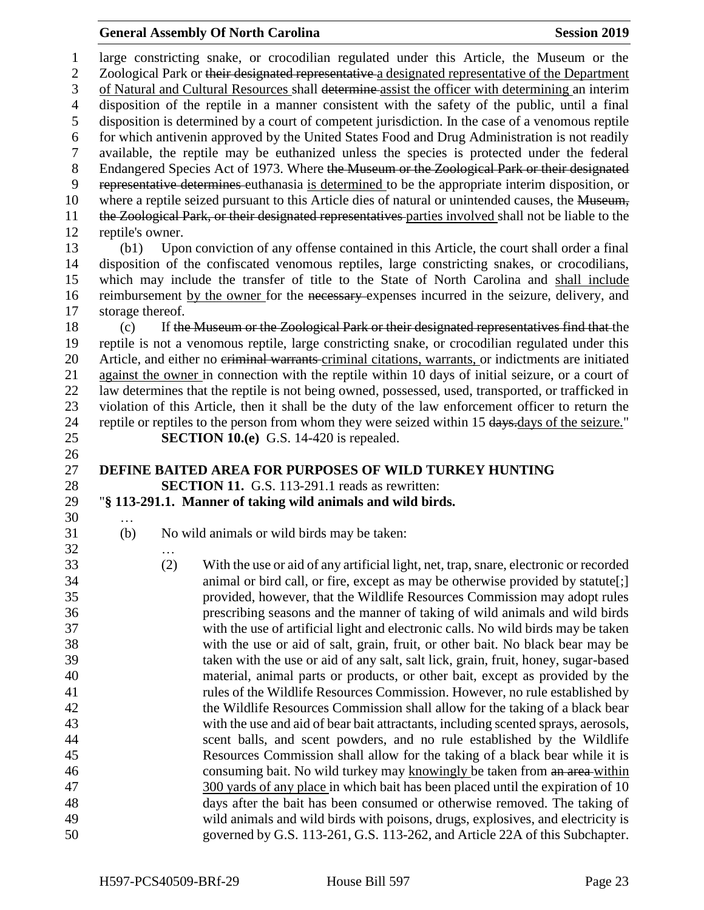large constricting snake, or crocodilian regulated under this Article, the Museum or the 2 Zoological Park or their designated representative a designated representative of the Department of Natural and Cultural Resources shall determine assist the officer with determining an interim disposition of the reptile in a manner consistent with the safety of the public, until a final disposition is determined by a court of competent jurisdiction. In the case of a venomous reptile for which antivenin approved by the United States Food and Drug Administration is not readily available, the reptile may be euthanized unless the species is protected under the federal 8 Endangered Species Act of 1973. Where the Museum or the Zoological Park or their designated representative determines euthanasia is determined to be the appropriate interim disposition, or 10 where a reptile seized pursuant to this Article dies of natural or unintended causes, the Museum, the Zoological Park, or their designated representatives parties involved shall not be liable to the reptile's owner. (b1) Upon conviction of any offense contained in this Article, the court shall order a final disposition of the confiscated venomous reptiles, large constricting snakes, or crocodilians, which may include the transfer of title to the State of North Carolina and shall include reimbursement by the owner for the necessary expenses incurred in the seizure, delivery, and storage thereof. (c) If the Museum or the Zoological Park or their designated representatives find that the reptile is not a venomous reptile, large constricting snake, or crocodilian regulated under this 20 Article, and either no eriminal warrants-criminal citations, warrants, or indictments are initiated against the owner in connection with the reptile within 10 days of initial seizure, or a court of law determines that the reptile is not being owned, possessed, used, transported, or trafficked in violation of this Article, then it shall be the duty of the law enforcement officer to return the 24 reptile or reptiles to the person from whom they were seized within 15 days.days of the seizure." **SECTION 10.(e)** G.S. 14-420 is repealed. **DEFINE BAITED AREA FOR PURPOSES OF WILD TURKEY HUNTING SECTION 11.** G.S. 113-291.1 reads as rewritten: "**§ 113-291.1. Manner of taking wild animals and wild birds.** … (b) No wild animals or wild birds may be taken: … (2) With the use or aid of any artificial light, net, trap, snare, electronic or recorded animal or bird call, or fire, except as may be otherwise provided by statute[;] provided, however, that the Wildlife Resources Commission may adopt rules prescribing seasons and the manner of taking of wild animals and wild birds with the use of artificial light and electronic calls. No wild birds may be taken with the use or aid of salt, grain, fruit, or other bait. No black bear may be taken with the use or aid of any salt, salt lick, grain, fruit, honey, sugar-based material, animal parts or products, or other bait, except as provided by the rules of the Wildlife Resources Commission. However, no rule established by the Wildlife Resources Commission shall allow for the taking of a black bear with the use and aid of bear bait attractants, including scented sprays, aerosols, scent balls, and scent powders, and no rule established by the Wildlife Resources Commission shall allow for the taking of a black bear while it is 46 consuming bait. No wild turkey may knowingly be taken from an area-within 300 yards of any place in which bait has been placed until the expiration of 10 days after the bait has been consumed or otherwise removed. The taking of wild animals and wild birds with poisons, drugs, explosives, and electricity is governed by G.S. 113-261, G.S. 113-262, and Article 22A of this Subchapter.